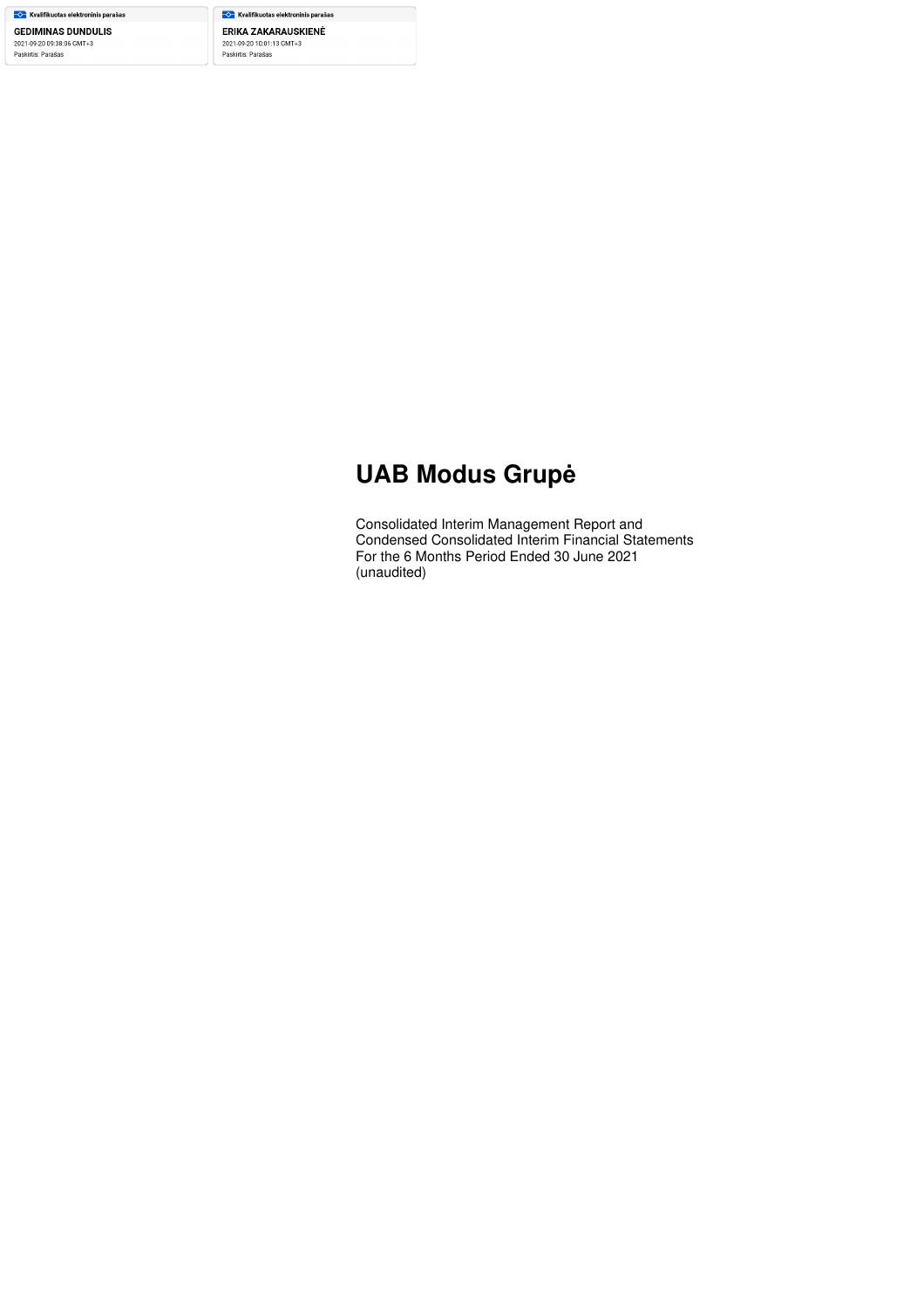- Kvalifikuotas elektroninis parašas **GEDIMINAS DUNDULIS** 2021-09-20 09:38:06 GMT+3 Paskirtis: Parašas

— Kvalifikuotas elektroninis parašas ERIKA ZAKARAUSKIENĖ 2021-09-20 10:01:13 GMT+3<br>Paskirtis: Parašas

# **UAB Modus Grupė**

Consolidated Interim Management Report and Condensed Consolidated Interim Financial Statements For the 6 Months Period Ended 30 June 2021 (unaudited)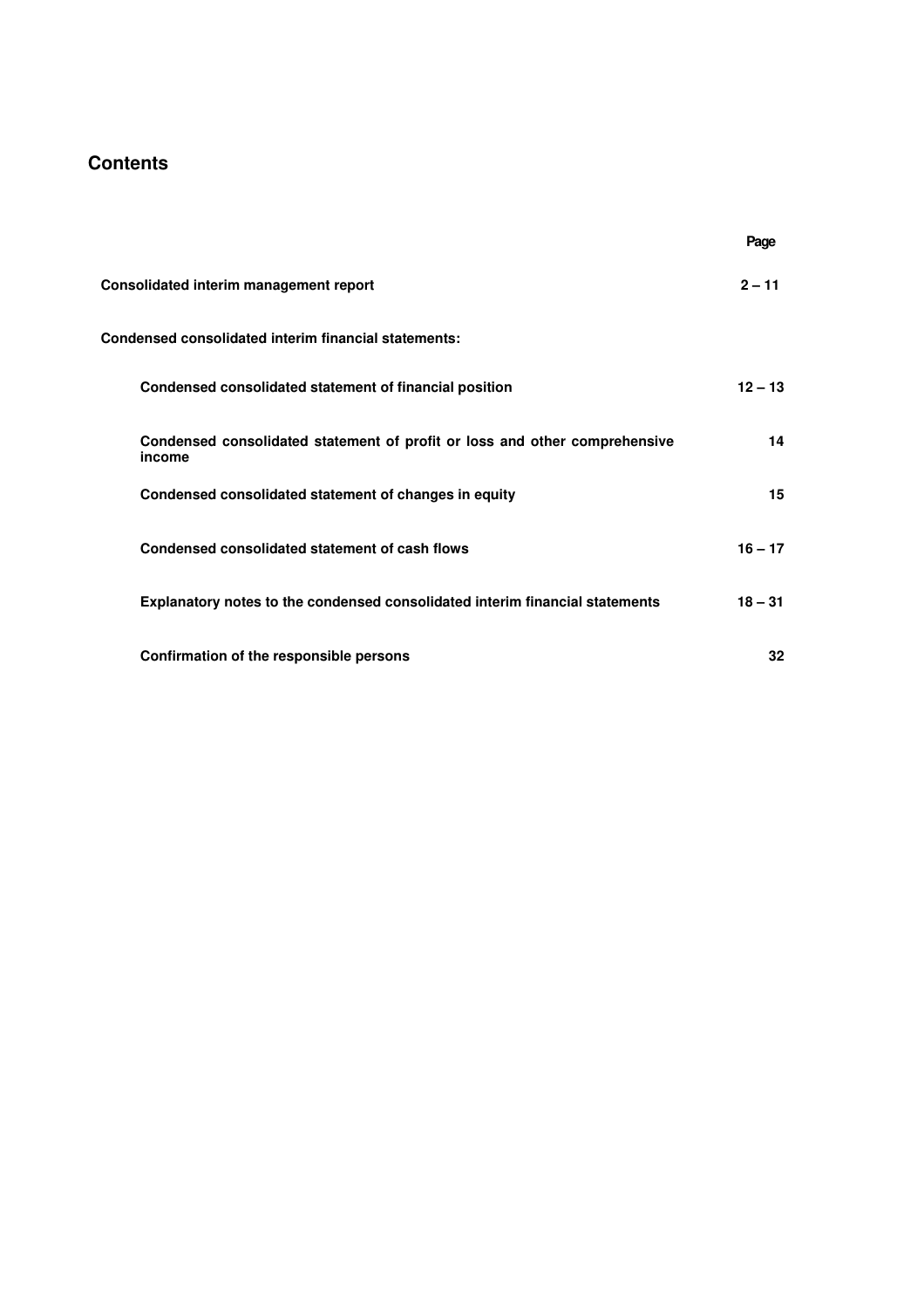# **Contents**

|                                                                                      | Page      |
|--------------------------------------------------------------------------------------|-----------|
| Consolidated interim management report                                               | $2 - 11$  |
| Condensed consolidated interim financial statements:                                 |           |
| Condensed consolidated statement of financial position                               | $12 - 13$ |
| Condensed consolidated statement of profit or loss and other comprehensive<br>income | 14        |
| Condensed consolidated statement of changes in equity                                | 15        |
| Condensed consolidated statement of cash flows                                       | $16 - 17$ |
| Explanatory notes to the condensed consolidated interim financial statements         | $18 - 31$ |
| Confirmation of the responsible persons                                              | 32        |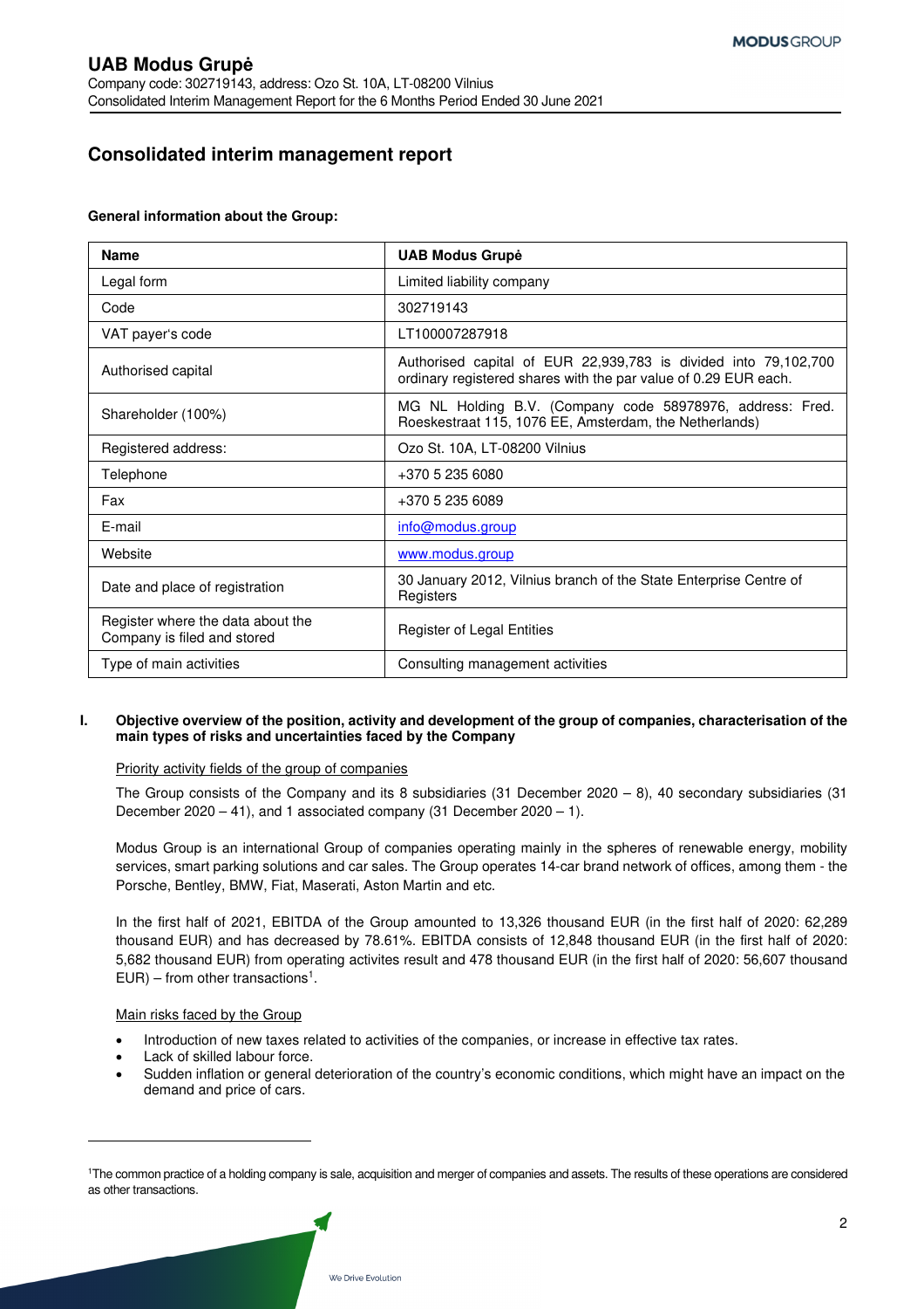# **Consolidated interim management report**

#### **General information about the Group:**

| <b>Name</b>                                                      | <b>UAB Modus Grupė</b>                                                                                                             |
|------------------------------------------------------------------|------------------------------------------------------------------------------------------------------------------------------------|
| Legal form                                                       | Limited liability company                                                                                                          |
| Code                                                             | 302719143                                                                                                                          |
| VAT payer's code                                                 | LT100007287918                                                                                                                     |
| Authorised capital                                               | Authorised capital of EUR 22,939,783 is divided into 79,102,700<br>ordinary registered shares with the par value of 0.29 EUR each. |
| Shareholder (100%)                                               | MG NL Holding B.V. (Company code 58978976, address: Fred.<br>Roeskestraat 115, 1076 EE, Amsterdam, the Netherlands)                |
| Registered address:                                              | Ozo St. 10A, LT-08200 Vilnius                                                                                                      |
| Telephone                                                        | +370 5 235 6080                                                                                                                    |
| Fax                                                              | +370 5 235 6089                                                                                                                    |
| E-mail                                                           | info@modus.group                                                                                                                   |
| Website                                                          | www.modus.group                                                                                                                    |
| Date and place of registration                                   | 30 January 2012, Vilnius branch of the State Enterprise Centre of<br>Registers                                                     |
| Register where the data about the<br>Company is filed and stored | Register of Legal Entities                                                                                                         |
| Type of main activities                                          | Consulting management activities                                                                                                   |

### **I. Objective overview of the position, activity and development of the group of companies, characterisation of the main types of risks and uncertainties faced by the Company**

### Priority activity fields of the group of companies

The Group consists of the Company and its 8 subsidiaries (31 December 2020 – 8), 40 secondary subsidiaries (31 December 2020 – 41), and 1 associated company (31 December 2020 – 1).

Modus Group is an international Group of companies operating mainly in the spheres of renewable energy, mobility services, smart parking solutions and car sales. The Group operates 14-car brand network of offices, among them - the Porsche, Bentley, BMW, Fiat, Maserati, Aston Martin and etc.

In the first half of 2021, EBITDA of the Group amounted to 13,326 thousand EUR (in the first half of 2020: 62,289 thousand EUR) and has decreased by 78.61%. EBITDA consists of 12,848 thousand EUR (in the first half of 2020: 5,682 thousand EUR) from operating activites result and 478 thousand EUR (in the first half of 2020: 56,607 thousand  $EUR$ ) – from other transactions<sup>1</sup>.

#### Main risks faced by the Group

- Introduction of new taxes related to activities of the companies, or increase in effective tax rates.
- Lack of skilled labour force.
- Sudden inflation or general deterioration of the country's economic conditions, which might have an impact on the demand and price of cars.

<sup>1</sup>The common practice of a holding company is sale, acquisition and merger of companies and assets. The results of these operations are considered as other transactions.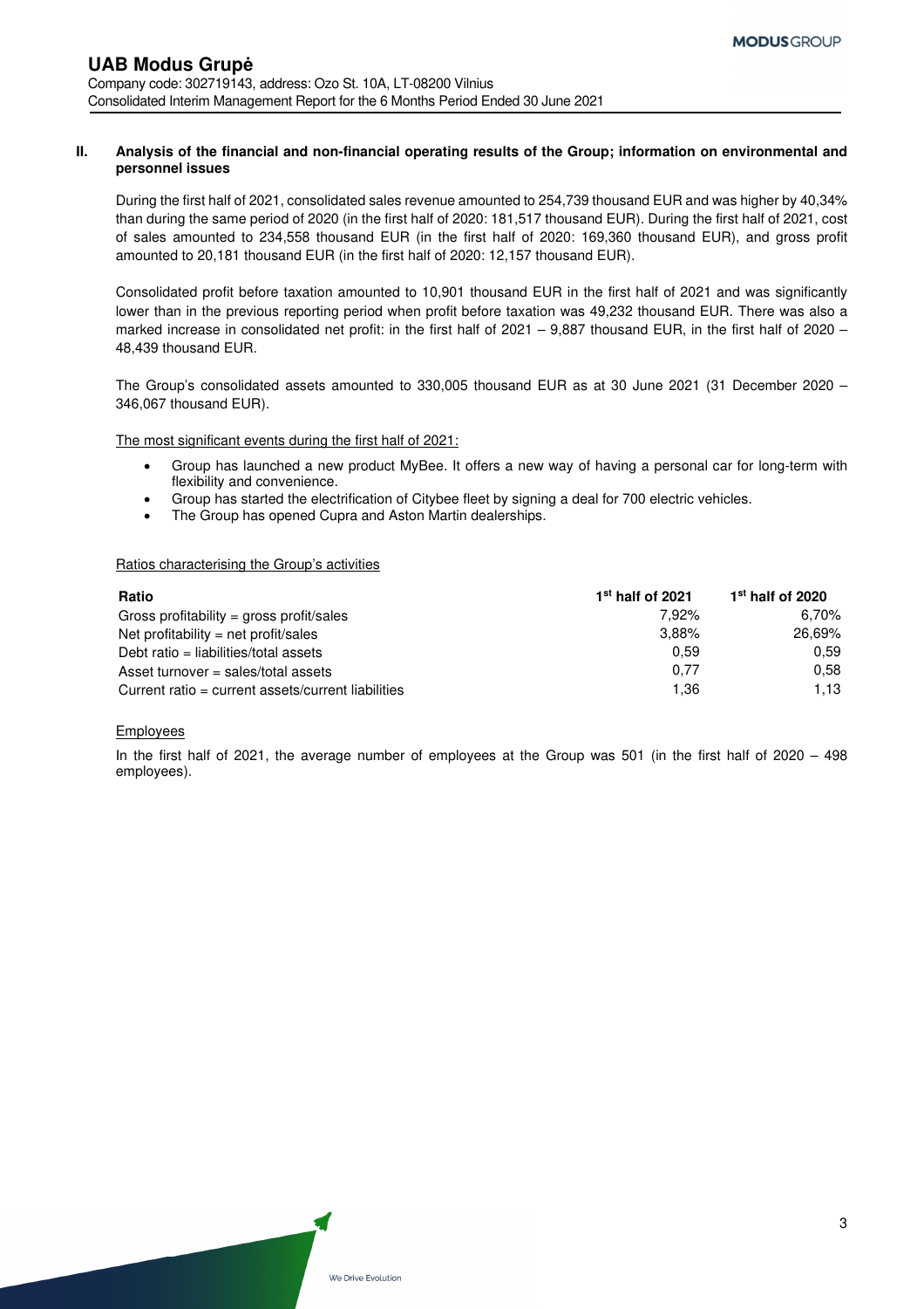#### **II. Analysis of the financial and non-financial operating results of the Group; information on environmental and personnel issues**

During the first half of 2021, consolidated sales revenue amounted to 254,739 thousand EUR and was higher by 40,34% than during the same period of 2020 (in the first half of 2020: 181,517 thousand EUR). During the first half of 2021, cost of sales amounted to 234,558 thousand EUR (in the first half of 2020: 169,360 thousand EUR), and gross profit amounted to 20,181 thousand EUR (in the first half of 2020: 12,157 thousand EUR).

Consolidated profit before taxation amounted to 10,901 thousand EUR in the first half of 2021 and was significantly lower than in the previous reporting period when profit before taxation was 49,232 thousand EUR. There was also a marked increase in consolidated net profit: in the first half of 2021 – 9,887 thousand EUR, in the first half of 2020 – 48,439 thousand EUR.

The Group's consolidated assets amounted to 330,005 thousand EUR as at 30 June 2021 (31 December 2020 – 346,067 thousand EUR).

The most significant events during the first half of 2021:

- Group has launched a new product MyBee. It offers a new way of having a personal car for long-term with flexibility and convenience.
- Group has started the electrification of Citybee fleet by signing a deal for 700 electric vehicles.
- The Group has opened Cupra and Aston Martin dealerships.

#### Ratios characterising the Group's activities

| Ratio                                              | $1st$ half of 2021 | $1st$ half of 2020 |
|----------------------------------------------------|--------------------|--------------------|
| Gross profitability = gross profit/sales           | 7.92%              | 6.70%              |
| Net profitability = net profit/sales               | 3.88%              | 26,69%             |
| Debt ratio = liabilities/total assets              | 0.59               | 0.59               |
| Asset turnover = sales/total assets                | 0.77               | 0.58               |
| Current ratio = current assets/current liabilities | 1.36               | 1.13               |

#### **Employees**

In the first half of 2021, the average number of employees at the Group was 501 (in the first half of 2020 – 498 employees).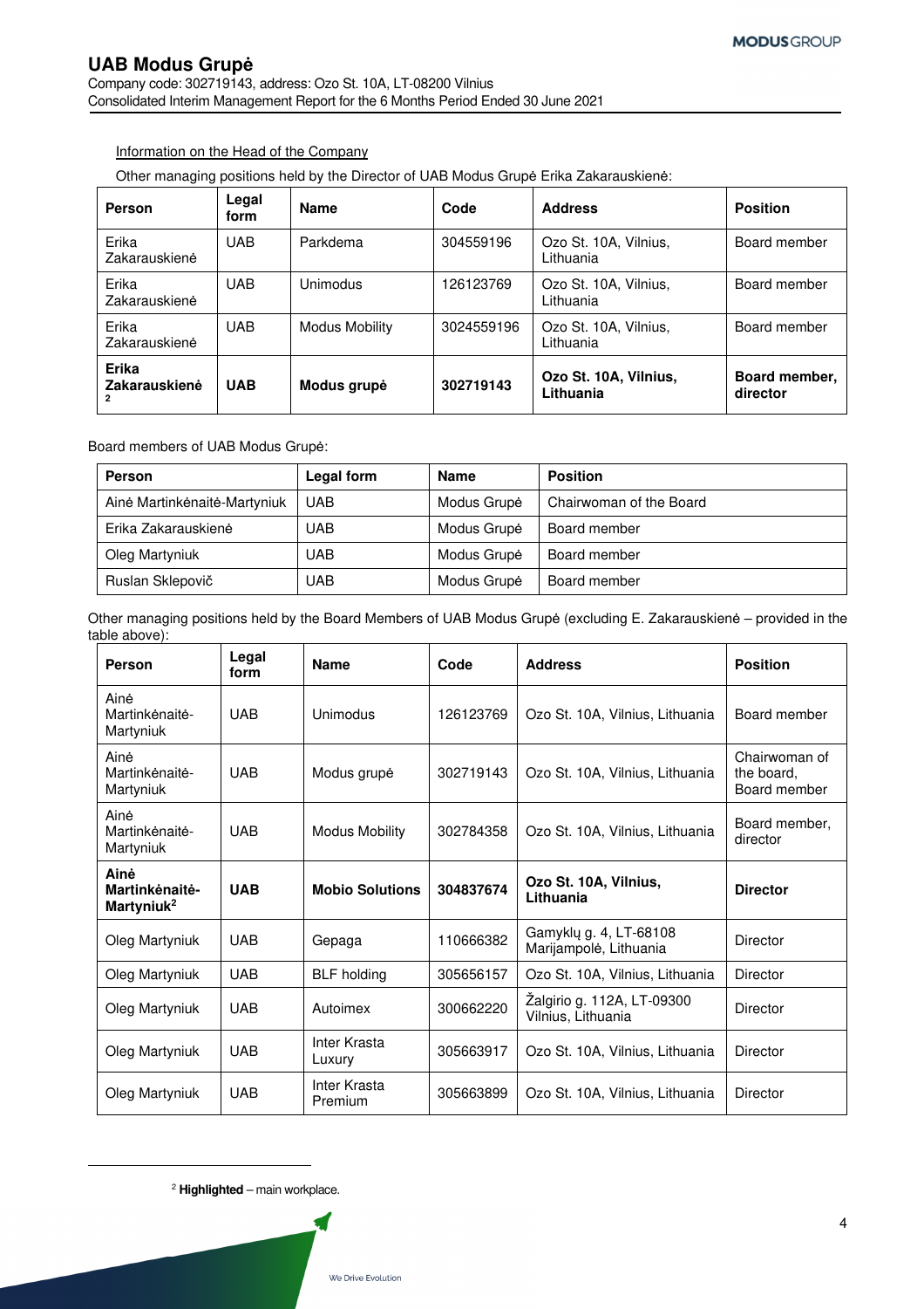Company code: 302719143, address: Ozo St. 10A, LT-08200 Vilnius Consolidated Interim Management Report for the 6 Months Period Ended 30 June 2021

### Information on the Head of the Company

Other managing positions held by the Director of UAB Modus Grupė Erika Zakarauskienė:

| Person                 | Legal<br>form | <b>Name</b>     | Code       | <b>Address</b>                     | <b>Position</b>           |
|------------------------|---------------|-----------------|------------|------------------------------------|---------------------------|
| Erika<br>Zakarauskienė | UAB           | Parkdema        | 304559196  | Ozo St. 10A, Vilnius,<br>Lithuania | Board member              |
| Erika<br>Zakarauskienė | UAB           | <b>Unimodus</b> | 126123769  | Ozo St. 10A, Vilnius,<br>Lithuania | Board member              |
| Erika<br>Zakarauskienė | UAB           | Modus Mobility  | 3024559196 | Ozo St. 10A, Vilnius,<br>Lithuania | Board member              |
| Erika<br>Zakarauskienė | <b>UAB</b>    | Modus grupė     | 302719143  | Ozo St. 10A, Vilnius,<br>Lithuania | Board member,<br>director |

Board members of UAB Modus Grupė:

| Person                       | Legal form | <b>Name</b> | <b>Position</b>         |
|------------------------------|------------|-------------|-------------------------|
| Ainė Martinkėnaitė-Martyniuk | UAB        | Modus Grupė | Chairwoman of the Board |
| Erika Zakarauskienė          | UAB        | Modus Grupė | Board member            |
| Oleg Martyniuk               | UAB        | Modus Grupė | Board member            |
| Ruslan Sklepovič             | UAB        | Modus Grupė | Board member            |

Other managing positions held by the Board Members of UAB Modus Grupė (excluding E. Zakarauskienė – provided in the table above):

| Person                                           | Legal<br>form | <b>Name</b>             | Code      | <b>Address</b>                                   | <b>Position</b>                             |
|--------------------------------------------------|---------------|-------------------------|-----------|--------------------------------------------------|---------------------------------------------|
| Ainė<br>Martinkėnaitė-<br>Martyniuk              | <b>UAB</b>    | Unimodus                | 126123769 | Ozo St. 10A, Vilnius, Lithuania                  | Board member                                |
| Ainė<br>Martinkėnaitė-<br>Martyniuk              | <b>UAB</b>    | Modus grupė             | 302719143 | Ozo St. 10A, Vilnius, Lithuania                  | Chairwoman of<br>the board.<br>Board member |
| Ainė<br>Martinkėnaitė-<br>Martyniuk              | <b>UAB</b>    | <b>Modus Mobility</b>   | 302784358 | Ozo St. 10A, Vilnius, Lithuania                  | Board member,<br>director                   |
| Ainė<br>Martinkėnaitė-<br>Martyniuk <sup>2</sup> | <b>UAB</b>    | <b>Mobio Solutions</b>  | 304837674 | Ozo St. 10A, Vilnius,<br>Lithuania               | <b>Director</b>                             |
| Oleg Martyniuk                                   | <b>UAB</b>    | Gepaga                  | 110666382 | Gamyklų g. 4, LT-68108<br>Marijampolė, Lithuania | Director                                    |
| Oleg Martyniuk                                   | <b>UAB</b>    | <b>BLF</b> holding      | 305656157 | Ozo St. 10A, Vilnius, Lithuania                  | Director                                    |
| Oleg Martyniuk                                   | <b>UAB</b>    | Autoimex                | 300662220 | Žalgirio g. 112A, LT-09300<br>Vilnius, Lithuania | Director                                    |
| Oleg Martyniuk                                   | <b>UAB</b>    | Inter Krasta<br>Luxury  | 305663917 | Ozo St. 10A, Vilnius, Lithuania                  | Director                                    |
| Oleg Martyniuk                                   | <b>UAB</b>    | Inter Krasta<br>Premium | 305663899 | Ozo St. 10A, Vilnius, Lithuania                  | Director                                    |

<sup>2</sup> **Highlighted** – main workplace.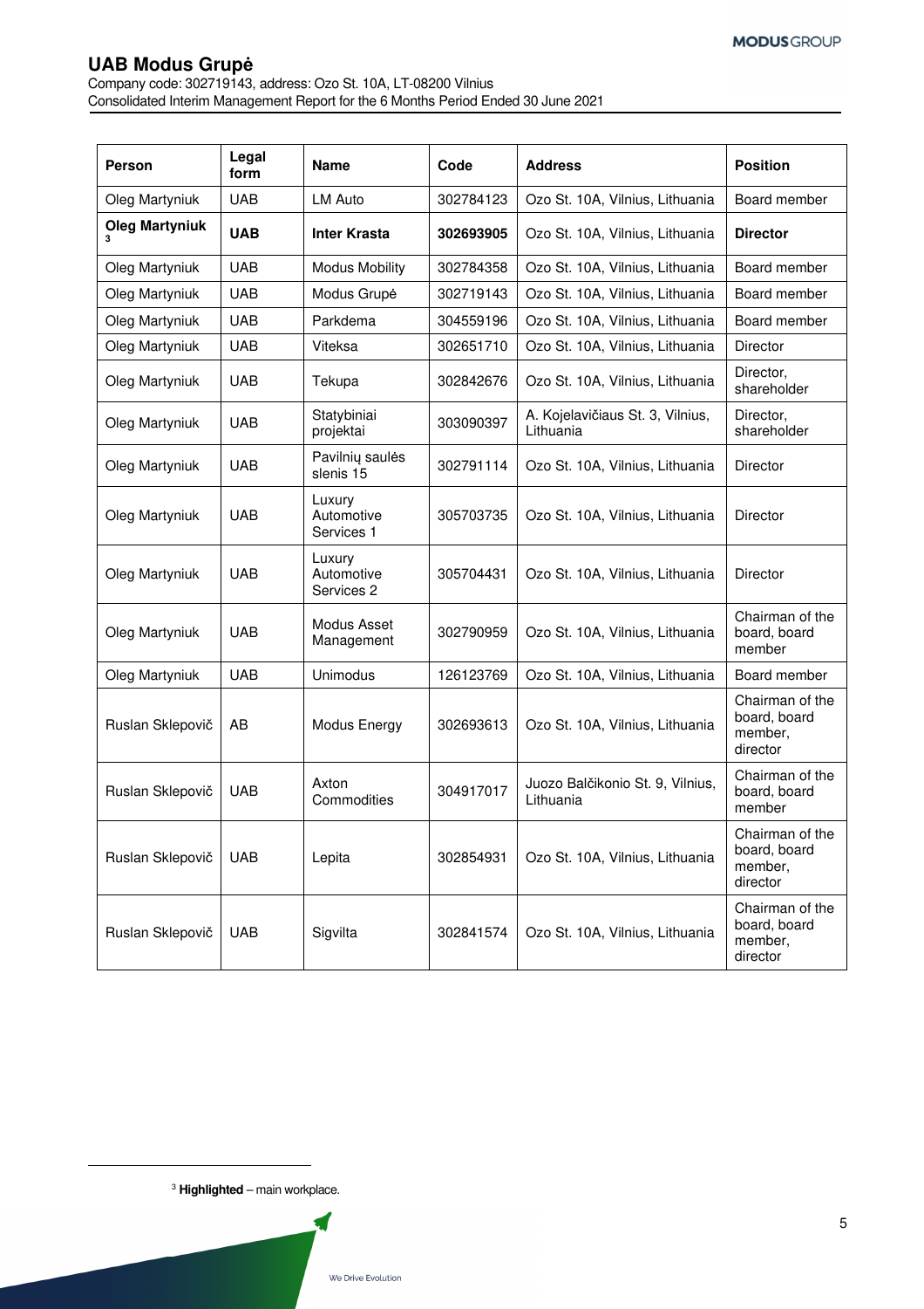Company code: 302719143, address: Ozo St. 10A, LT-08200 Vilnius Consolidated Interim Management Report for the 6 Months Period Ended 30 June 2021

| <b>Person</b>         | Legal<br>form | <b>Name</b>                        | Code      | <b>Address</b>                                | <b>Position</b>                                        |
|-----------------------|---------------|------------------------------------|-----------|-----------------------------------------------|--------------------------------------------------------|
| Oleg Martyniuk        | <b>UAB</b>    | <b>LM Auto</b>                     | 302784123 | Ozo St. 10A, Vilnius, Lithuania               | Board member                                           |
| <b>Oleg Martyniuk</b> | <b>UAB</b>    | <b>Inter Krasta</b>                | 302693905 | Ozo St. 10A, Vilnius, Lithuania               | <b>Director</b>                                        |
| Oleg Martyniuk        | <b>UAB</b>    | <b>Modus Mobility</b>              | 302784358 | Ozo St. 10A, Vilnius, Lithuania               | Board member                                           |
| Oleg Martyniuk        | <b>UAB</b>    | Modus Grupė                        | 302719143 | Ozo St. 10A, Vilnius, Lithuania               | Board member                                           |
| Oleg Martyniuk        | <b>UAB</b>    | Parkdema                           | 304559196 | Ozo St. 10A, Vilnius, Lithuania               | Board member                                           |
| Oleg Martyniuk        | <b>UAB</b>    | Viteksa                            | 302651710 | Ozo St. 10A, Vilnius, Lithuania               | <b>Director</b>                                        |
| Oleg Martyniuk        | <b>UAB</b>    | Tekupa                             | 302842676 | Ozo St. 10A, Vilnius, Lithuania               | Director,<br>shareholder                               |
| Oleg Martyniuk        | <b>UAB</b>    | Statybiniai<br>projektai           | 303090397 | A. Kojelavičiaus St. 3, Vilnius,<br>Lithuania | Director,<br>shareholder                               |
| Oleg Martyniuk        | <b>UAB</b>    | Pavilnių saulės<br>slenis 15       | 302791114 | Ozo St. 10A, Vilnius, Lithuania               | <b>Director</b>                                        |
| Oleg Martyniuk        | <b>UAB</b>    | Luxury<br>Automotive<br>Services 1 | 305703735 | Ozo St. 10A, Vilnius, Lithuania               | <b>Director</b>                                        |
| Oleg Martyniuk        | <b>UAB</b>    | Luxury<br>Automotive<br>Services 2 | 305704431 | Ozo St. 10A, Vilnius, Lithuania               | <b>Director</b>                                        |
| Oleg Martyniuk        | <b>UAB</b>    | Modus Asset<br>Management          | 302790959 | Ozo St. 10A, Vilnius, Lithuania               | Chairman of the<br>board, board<br>member              |
| Oleg Martyniuk        | <b>UAB</b>    | Unimodus                           | 126123769 | Ozo St. 10A, Vilnius, Lithuania               | Board member                                           |
| Ruslan Sklepovič      | AB            | Modus Energy                       | 302693613 | Ozo St. 10A, Vilnius, Lithuania               | Chairman of the<br>board, board<br>member,<br>director |
| Ruslan Sklepovič      | <b>UAB</b>    | Axton<br>Commodities               | 304917017 | Juozo Balčikonio St. 9, Vilnius,<br>Lithuania | Chairman of the<br>board, board<br>member              |
| Ruslan Sklepovič      | <b>UAB</b>    | Lepita                             | 302854931 | Ozo St. 10A, Vilnius, Lithuania               | Chairman of the<br>board, board<br>member,<br>director |
| Ruslan Sklepovič      | <b>UAB</b>    | Sigvilta                           | 302841574 | Ozo St. 10A, Vilnius, Lithuania               | Chairman of the<br>board, board<br>member,<br>director |

<sup>3</sup> **Highlighted** – main workplace.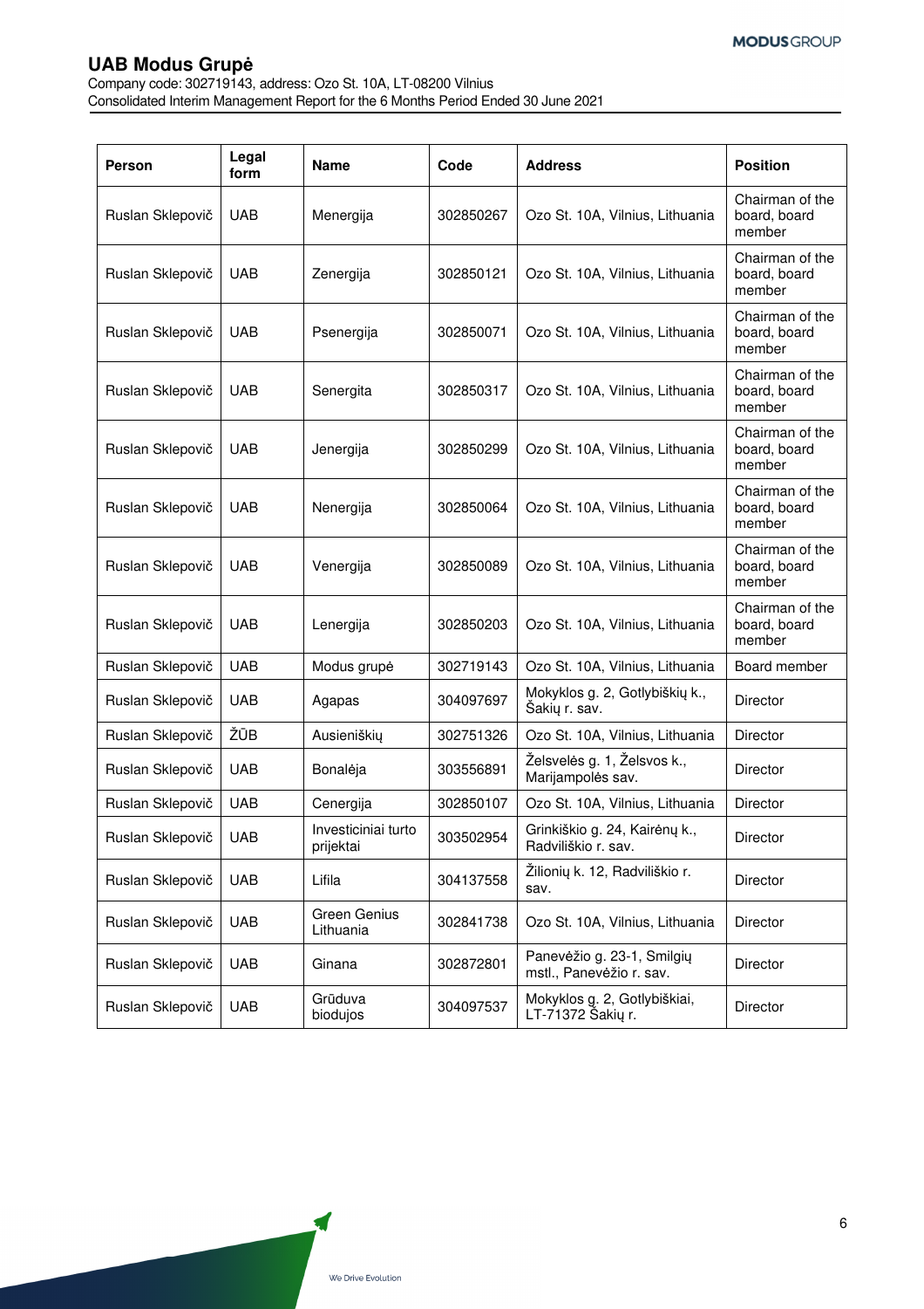Company code: 302719143, address: Ozo St. 10A, LT-08200 Vilnius Consolidated Interim Management Report for the 6 Months Period Ended 30 June 2021

| <b>Person</b>    | Legal<br>form | <b>Name</b>                      | Code      | <b>Address</b>                                         | <b>Position</b>                           |
|------------------|---------------|----------------------------------|-----------|--------------------------------------------------------|-------------------------------------------|
| Ruslan Sklepovič | <b>UAB</b>    | Menergija                        | 302850267 | Ozo St. 10A, Vilnius, Lithuania                        | Chairman of the<br>board, board<br>member |
| Ruslan Sklepovič | <b>UAB</b>    | Zenergija                        | 302850121 | Ozo St. 10A, Vilnius, Lithuania                        | Chairman of the<br>board, board<br>member |
| Ruslan Sklepovič | <b>UAB</b>    | Psenergija                       | 302850071 | Ozo St. 10A, Vilnius, Lithuania                        | Chairman of the<br>board, board<br>member |
| Ruslan Sklepovič | <b>UAB</b>    | Senergita                        | 302850317 | Ozo St. 10A, Vilnius, Lithuania                        | Chairman of the<br>board, board<br>member |
| Ruslan Sklepovič | <b>UAB</b>    | Jenergija                        | 302850299 | Ozo St. 10A, Vilnius, Lithuania                        | Chairman of the<br>board, board<br>member |
| Ruslan Sklepovič | <b>UAB</b>    | Nenergija                        | 302850064 | Ozo St. 10A, Vilnius, Lithuania                        | Chairman of the<br>board, board<br>member |
| Ruslan Sklepovič | <b>UAB</b>    | Venergija                        | 302850089 | Ozo St. 10A, Vilnius, Lithuania                        | Chairman of the<br>board, board<br>member |
| Ruslan Sklepovič | <b>UAB</b>    | Lenergija                        | 302850203 | Ozo St. 10A, Vilnius, Lithuania                        | Chairman of the<br>board, board<br>member |
| Ruslan Sklepovič | <b>UAB</b>    | Modus grupė                      | 302719143 | Ozo St. 10A, Vilnius, Lithuania                        | Board member                              |
| Ruslan Sklepovič | <b>UAB</b>    | Agapas                           | 304097697 | Mokyklos g. 2, Gotlybiškių k.,<br>Šakių r. sav.        | Director                                  |
| Ruslan Sklepovič | ŽŪB           | Ausieniškių                      | 302751326 | Ozo St. 10A, Vilnius, Lithuania                        | Director                                  |
| Ruslan Sklepovič | <b>UAB</b>    | Bonalėja                         | 303556891 | Želsvelės g. 1, Želsvos k.,<br>Marijampolės sav.       | <b>Director</b>                           |
| Ruslan Sklepovič | <b>UAB</b>    | Cenergija                        | 302850107 | Ozo St. 10A, Vilnius, Lithuania                        | <b>Director</b>                           |
| Ruslan Sklepovič | <b>UAB</b>    | Investiciniai turto<br>prijektai | 303502954 | Grinkiškio g. 24, Kairėnų k.,<br>Radviliškio r. sav.   | Director                                  |
| Ruslan Sklepovič | <b>UAB</b>    | Lifila                           | 304137558 | Žilionių k. 12, Radviliškio r.<br>sav.                 | Director                                  |
| Ruslan Sklepovič | <b>UAB</b>    | Green Genius<br>Lithuania        | 302841738 | Ozo St. 10A, Vilnius, Lithuania                        | Director                                  |
| Ruslan Sklepovič | <b>UAB</b>    | Ginana                           | 302872801 | Panevėžio g. 23-1, Smilgių<br>mstl., Panevėžio r. sav. | Director                                  |
| Ruslan Sklepovič | <b>UAB</b>    | Grūduva<br>biodujos              | 304097537 | Mokyklos g. 2, Gotlybiškiai,<br>LT-71372 Šakių r.      | Director                                  |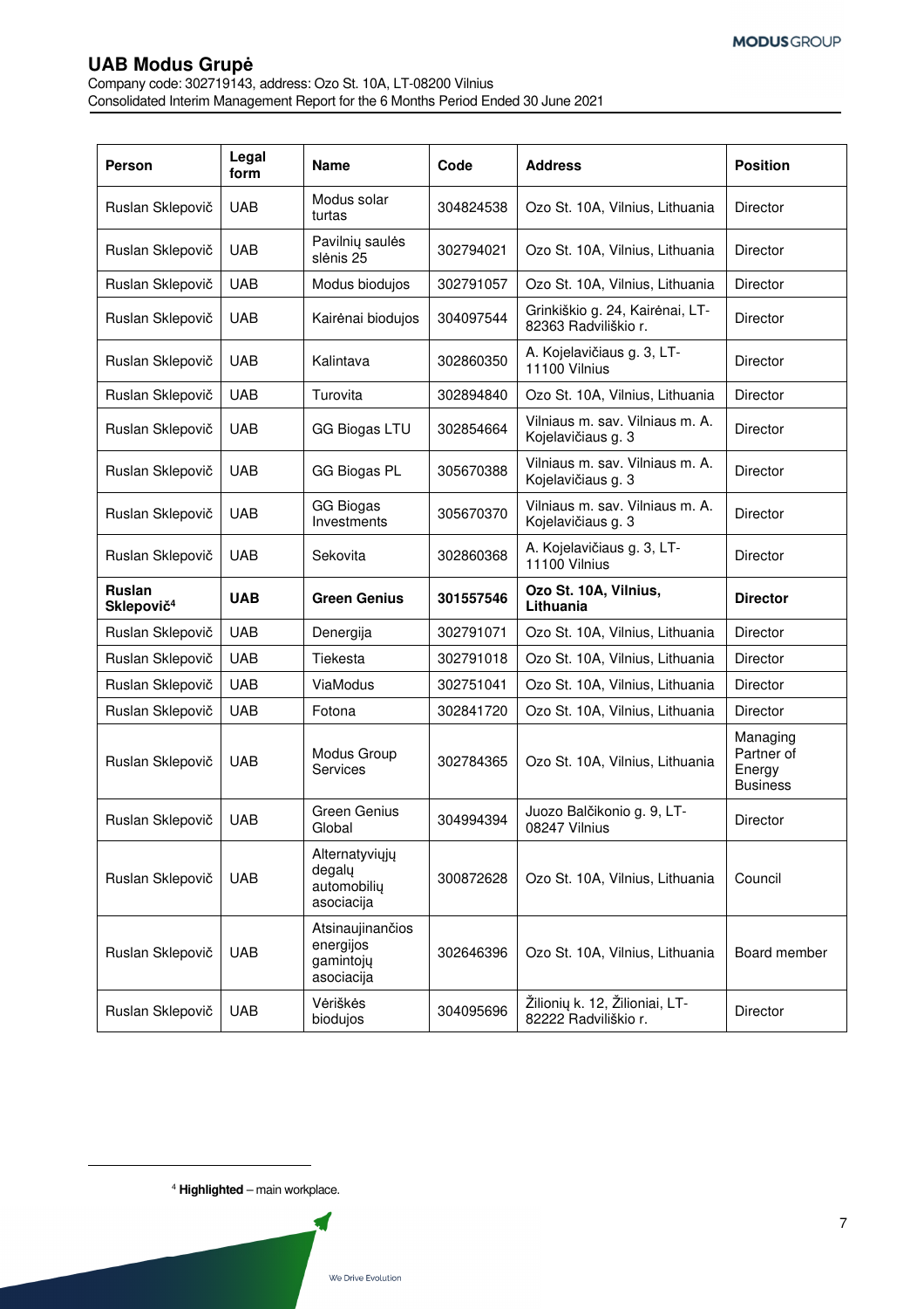Company code: 302719143, address: Ozo St. 10A, LT-08200 Vilnius Consolidated Interim Management Report for the 6 Months Period Ended 30 June 2021

| Person                           | Legal<br>form | <b>Name</b>                                              | Code      | <b>Address</b>                                          | <b>Position</b>                                     |
|----------------------------------|---------------|----------------------------------------------------------|-----------|---------------------------------------------------------|-----------------------------------------------------|
| Ruslan Sklepovič                 | <b>UAB</b>    | Modus solar<br>turtas                                    | 304824538 | Ozo St. 10A, Vilnius, Lithuania                         | <b>Director</b>                                     |
| Ruslan Sklepovič                 | <b>UAB</b>    | Pavilnių saulės<br>slėnis 25                             | 302794021 | Ozo St. 10A, Vilnius, Lithuania                         | Director                                            |
| Ruslan Sklepovič                 | <b>UAB</b>    | Modus biodujos                                           | 302791057 | Ozo St. 10A, Vilnius, Lithuania                         | Director                                            |
| Ruslan Sklepovič                 | <b>UAB</b>    | Kairėnai biodujos                                        | 304097544 | Grinkiškio g. 24, Kairėnai, LT-<br>82363 Radviliškio r. | <b>Director</b>                                     |
| Ruslan Sklepovič                 | <b>UAB</b>    | Kalintava                                                | 302860350 | A. Kojelavičiaus g. 3, LT-<br>11100 Vilnius             | <b>Director</b>                                     |
| Ruslan Sklepovič                 | <b>UAB</b>    | Turovita                                                 | 302894840 | Ozo St. 10A, Vilnius, Lithuania                         | Director                                            |
| Ruslan Sklepovič                 | <b>UAB</b>    | <b>GG Biogas LTU</b>                                     | 302854664 | Vilniaus m. sav. Vilniaus m. A.<br>Kojelavičiaus g. 3   | Director                                            |
| Ruslan Sklepovič                 | <b>UAB</b>    | <b>GG Biogas PL</b>                                      | 305670388 | Vilniaus m. sav. Vilniaus m. A.<br>Kojelavičiaus g. 3   | <b>Director</b>                                     |
| Ruslan Sklepovič                 | <b>UAB</b>    | <b>GG Biogas</b><br>Investments                          | 305670370 | Vilniaus m. sav. Vilniaus m. A.<br>Kojelavičiaus g. 3   | Director                                            |
| Ruslan Sklepovič                 | <b>UAB</b>    | Sekovita                                                 | 302860368 | A. Kojelavičiaus g. 3, LT-<br>11100 Vilnius             | <b>Director</b>                                     |
| Ruslan<br>Sklepovič <sup>4</sup> | <b>UAB</b>    | <b>Green Genius</b>                                      | 301557546 | Ozo St. 10A, Vilnius,<br>Lithuania                      | <b>Director</b>                                     |
| Ruslan Sklepovič                 | <b>UAB</b>    | Denergija                                                | 302791071 | Ozo St. 10A, Vilnius, Lithuania                         | Director                                            |
| Ruslan Sklepovič                 | <b>UAB</b>    | Tiekesta                                                 | 302791018 | Ozo St. 10A, Vilnius, Lithuania                         | <b>Director</b>                                     |
| Ruslan Sklepovič                 | <b>UAB</b>    | ViaModus                                                 | 302751041 | Ozo St. 10A, Vilnius, Lithuania                         | <b>Director</b>                                     |
| Ruslan Sklepovič                 | <b>UAB</b>    | Fotona                                                   | 302841720 | Ozo St. 10A, Vilnius, Lithuania                         | <b>Director</b>                                     |
| Ruslan Sklepovič                 | <b>UAB</b>    | Modus Group<br>Services                                  | 302784365 | Ozo St. 10A, Vilnius, Lithuania                         | Managing<br>Partner of<br>Energy<br><b>Business</b> |
| Ruslan Sklepovič                 | <b>UAB</b>    | Green Genius<br>Global                                   | 304994394 | Juozo Balčikonio g. 9, LT-<br>08247 Vilnius             | Director                                            |
| Ruslan Sklepovič                 | <b>UAB</b>    | Alternatyviųjų<br>degaly<br>automobiliy<br>asociacija    | 300872628 | Ozo St. 10A, Vilnius, Lithuania                         | Council                                             |
| Ruslan Sklepovič                 | <b>UAB</b>    | Atsinaujinančios<br>energijos<br>gamintojų<br>asociacija | 302646396 | Ozo St. 10A, Vilnius, Lithuania                         | Board member                                        |
|                                  |               |                                                          |           |                                                         |                                                     |

<sup>4</sup> **Highlighted** – main workplace.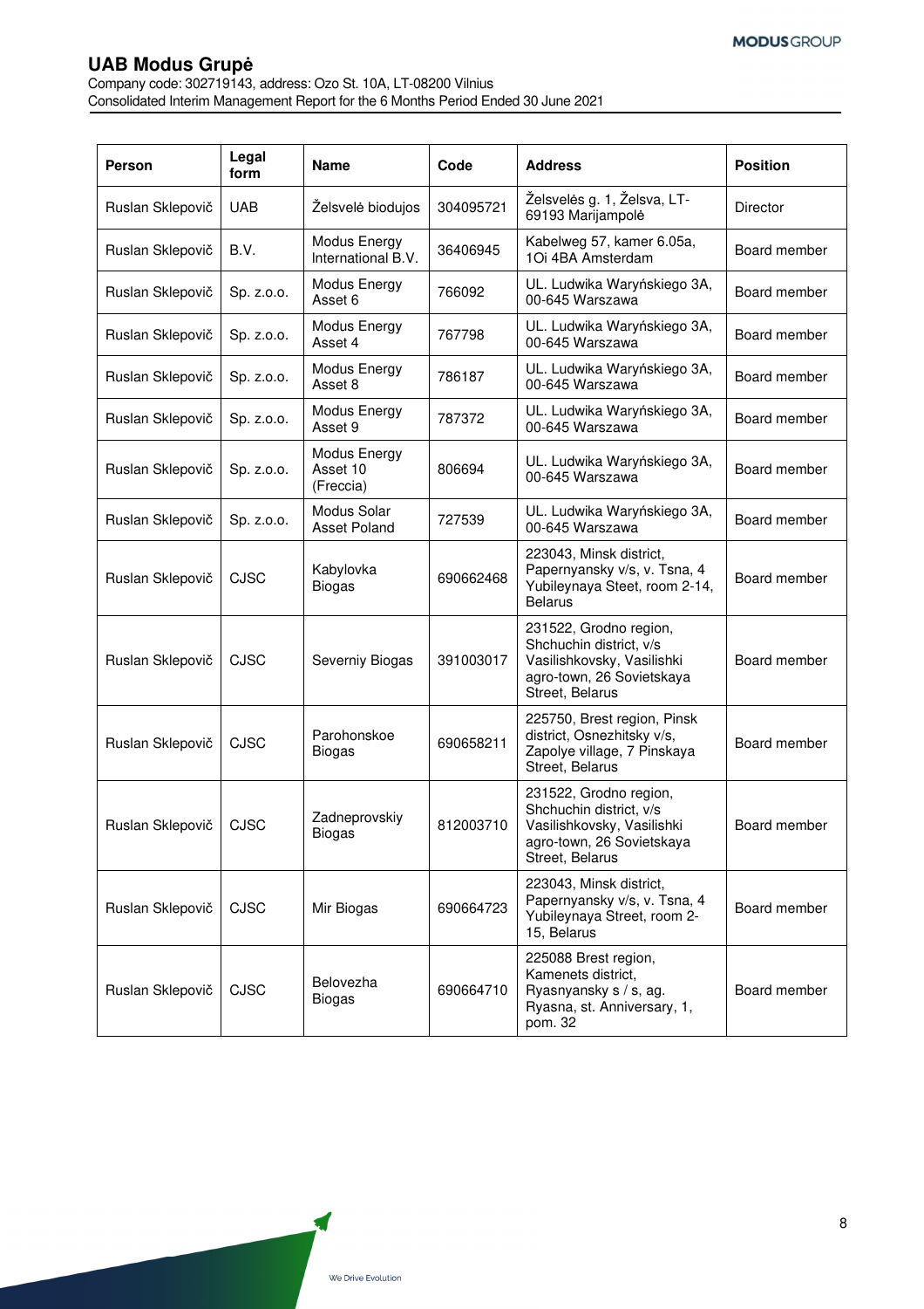Company code: 302719143, address: Ozo St. 10A, LT-08200 Vilnius Consolidated Interim Management Report for the 6 Months Period Ended 30 June 2021

| Person           | Legal<br>form | <b>Name</b>                           | Code      | <b>Address</b>                                                                                                                  | <b>Position</b> |
|------------------|---------------|---------------------------------------|-----------|---------------------------------------------------------------------------------------------------------------------------------|-----------------|
| Ruslan Sklepovič | <b>UAB</b>    | Želsvelė biodujos                     | 304095721 | Želsvelės g. 1, Želsva, LT-<br>69193 Marijampolė                                                                                | Director        |
| Ruslan Sklepovič | B.V.          | Modus Energy<br>International B.V.    | 36406945  | Kabelweg 57, kamer 6.05a,<br>1Oi 4BA Amsterdam                                                                                  | Board member    |
| Ruslan Sklepovič | Sp. z.o.o.    | Modus Energy<br>Asset 6               | 766092    | UL. Ludwika Waryńskiego 3A,<br>00-645 Warszawa                                                                                  | Board member    |
| Ruslan Sklepovič | Sp. z.o.o.    | Modus Energy<br>Asset 4               | 767798    | UL. Ludwika Waryńskiego 3A,<br>00-645 Warszawa                                                                                  | Board member    |
| Ruslan Sklepovič | Sp. z.o.o.    | Modus Energy<br>Asset 8               | 786187    | UL. Ludwika Waryńskiego 3A,<br>00-645 Warszawa                                                                                  | Board member    |
| Ruslan Sklepovič | Sp. z.o.o.    | Modus Energy<br>Asset 9               | 787372    | UL. Ludwika Waryńskiego 3A,<br>00-645 Warszawa                                                                                  | Board member    |
| Ruslan Sklepovič | Sp. z.o.o.    | Modus Energy<br>Asset 10<br>(Freccia) | 806694    | UL. Ludwika Waryńskiego 3A,<br>00-645 Warszawa                                                                                  | Board member    |
| Ruslan Sklepovič | Sp. z.o.o.    | Modus Solar<br><b>Asset Poland</b>    | 727539    | UL. Ludwika Waryńskiego 3A,<br>00-645 Warszawa                                                                                  | Board member    |
| Ruslan Sklepovič | CJSC          | Kabylovka<br><b>Biogas</b>            | 690662468 | 223043, Minsk district,<br>Papernyansky v/s, v. Tsna, 4<br>Yubileynaya Steet, room 2-14,<br><b>Belarus</b>                      | Board member    |
| Ruslan Sklepovič | CJSC          | Severniy Biogas                       | 391003017 | 231522, Grodno region,<br>Shchuchin district, v/s<br>Vasilishkovsky, Vasilishki<br>agro-town, 26 Sovietskaya<br>Street, Belarus | Board member    |
| Ruslan Sklepovič | <b>CJSC</b>   | Parohonskoe<br><b>Biogas</b>          | 690658211 | 225750, Brest region, Pinsk<br>district, Osnezhitsky v/s,<br>Zapolye village, 7 Pinskaya<br>Street, Belarus                     | Board member    |
| Ruslan Sklepovič | <b>CJSC</b>   | Zadneprovskiy<br>Biogas               | 812003710 | 231522, Grodno region,<br>Shchuchin district, v/s<br>Vasilishkovsky, Vasilishki<br>agro-town, 26 Sovietskaya<br>Street, Belarus | Board member    |
| Ruslan Sklepovič | <b>CJSC</b>   | Mir Biogas                            | 690664723 | 223043, Minsk district,<br>Papernyansky v/s, v. Tsna, 4<br>Yubileynaya Street, room 2-<br>15, Belarus                           | Board member    |
| Ruslan Sklepovič | <b>CJSC</b>   | Belovezha<br><b>Biogas</b>            | 690664710 | 225088 Brest region,<br>Kamenets district,<br>Ryasnyansky s / s, ag.<br>Ryasna, st. Anniversary, 1,<br>pom. 32                  | Board member    |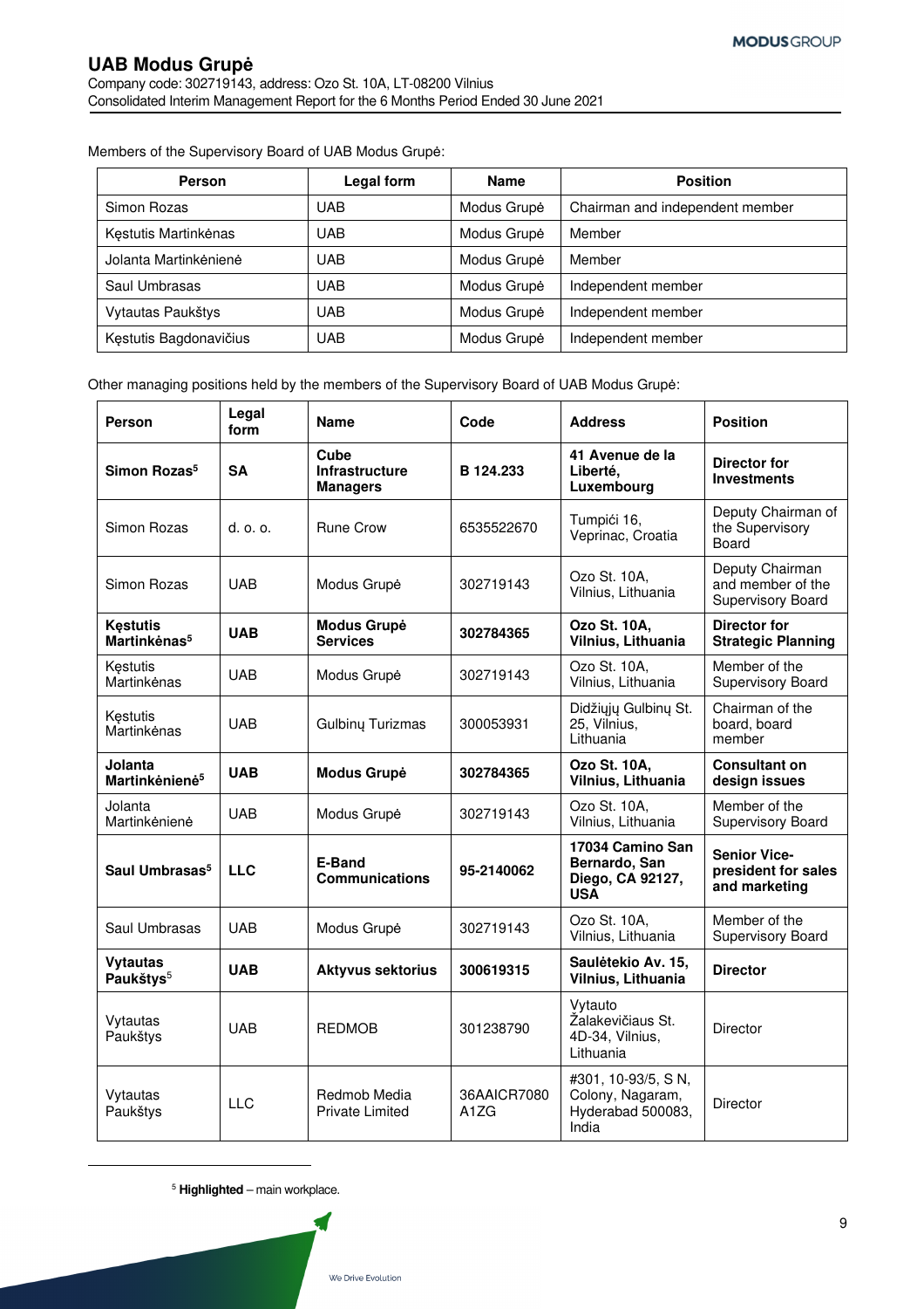Members of the Supervisory Board of UAB Modus Grupė:

| <b>Person</b>          | Legal form | <b>Name</b> | <b>Position</b>                 |
|------------------------|------------|-------------|---------------------------------|
| Simon Rozas            | <b>UAB</b> | Modus Grupė | Chairman and independent member |
| Kęstutis Martinkėnas   | <b>UAB</b> | Modus Grupė | Member                          |
| Jolanta Martinkėnienė  | UAB        | Modus Grupė | Member                          |
| Saul Umbrasas          | <b>UAB</b> | Modus Grupė | Independent member              |
| Vytautas Paukštys      | UAB        | Modus Grupė | Independent member              |
| Kęstutis Bagdonavičius | UAB        | Modus Grupė | Independent member              |

Other managing positions held by the members of the Supervisory Board of UAB Modus Grupė:

| Person                                      | Legal<br>form  | <b>Name</b>                                      | Code                                         | <b>Address</b>                                                       | <b>Position</b>                                             |
|---------------------------------------------|----------------|--------------------------------------------------|----------------------------------------------|----------------------------------------------------------------------|-------------------------------------------------------------|
| Simon Rozas <sup>5</sup>                    | <b>SA</b>      | Cube<br><b>Infrastructure</b><br><b>Managers</b> | B 124.233                                    | 41 Avenue de la<br>Liberté.<br>Luxembourg                            | <b>Director for</b><br><b>Investments</b>                   |
| Simon Rozas                                 | $d.$ $o.$ $o.$ | <b>Rune Crow</b>                                 | 6535522670                                   | Tumpići 16,<br>Veprinac, Croatia                                     | Deputy Chairman of<br>the Supervisory<br>Board              |
| Simon Rozas                                 | <b>UAB</b>     | Modus Grupė                                      | 302719143                                    | Ozo St. 10A,<br>Vilnius, Lithuania                                   | Deputy Chairman<br>and member of the<br>Supervisory Board   |
| <b>Kestutis</b><br>Martinkėnas <sup>5</sup> | <b>UAB</b>     | <b>Modus Grupė</b><br><b>Services</b>            | 302784365                                    | Ozo St. 10A,<br>Vilnius, Lithuania                                   | <b>Director for</b><br><b>Strategic Planning</b>            |
| Kestutis<br>Martinkėnas                     | <b>UAB</b>     | Modus Grupė                                      | 302719143                                    | Ozo St. 10A.<br>Vilnius, Lithuania                                   | Member of the<br>Supervisory Board                          |
| Kęstutis<br>Martinkėnas                     | <b>UAB</b>     | Gulbinų Turizmas                                 | 300053931                                    | Didžiųjų Gulbinų St.<br>25, Vilnius,<br>Lithuania                    | Chairman of the<br>board, board<br>member                   |
| Jolanta<br>Martinkėnienė <sup>5</sup>       | <b>UAB</b>     | <b>Modus Grupė</b>                               | 302784365                                    | Ozo St. 10A,<br>Vilnius, Lithuania                                   | <b>Consultant on</b><br>design issues                       |
| Jolanta<br>Martinkėnienė                    | <b>UAB</b>     | Modus Grupė                                      | 302719143                                    | Ozo St. 10A,<br>Vilnius, Lithuania                                   | Member of the<br>Supervisory Board                          |
| Saul Umbrasas <sup>5</sup>                  | <b>LLC</b>     | E-Band<br><b>Communications</b>                  | 95-2140062                                   | 17034 Camino San<br>Bernardo, San<br>Diego, CA 92127,<br><b>USA</b>  | <b>Senior Vice-</b><br>president for sales<br>and marketing |
| Saul Umbrasas                               | <b>UAB</b>     | Modus Grupė                                      | 302719143                                    | Ozo St. 10A,<br>Vilnius, Lithuania                                   | Member of the<br>Supervisory Board                          |
| <b>Vytautas</b><br>Paukštys <sup>5</sup>    | <b>UAB</b>     | <b>Aktyvus sektorius</b>                         | 300619315                                    | Saulėtekio Av. 15,<br>Vilnius, Lithuania                             | <b>Director</b>                                             |
| Vytautas<br>Paukštys                        | <b>UAB</b>     | <b>REDMOB</b>                                    | 301238790                                    | Vytauto<br>Žalakevičiaus St.<br>4D-34, Vilnius,<br>Lithuania         | Director                                                    |
| Vytautas<br>Paukštys                        | $\sqcup$ C     | Redmob Media<br><b>Private Limited</b>           | 36AAICR7080<br>A <sub>1</sub> Z <sub>G</sub> | #301, 10-93/5, SN,<br>Colony, Nagaram,<br>Hyderabad 500083,<br>India | Director                                                    |

<sup>5</sup> **Highlighted** – main workplace.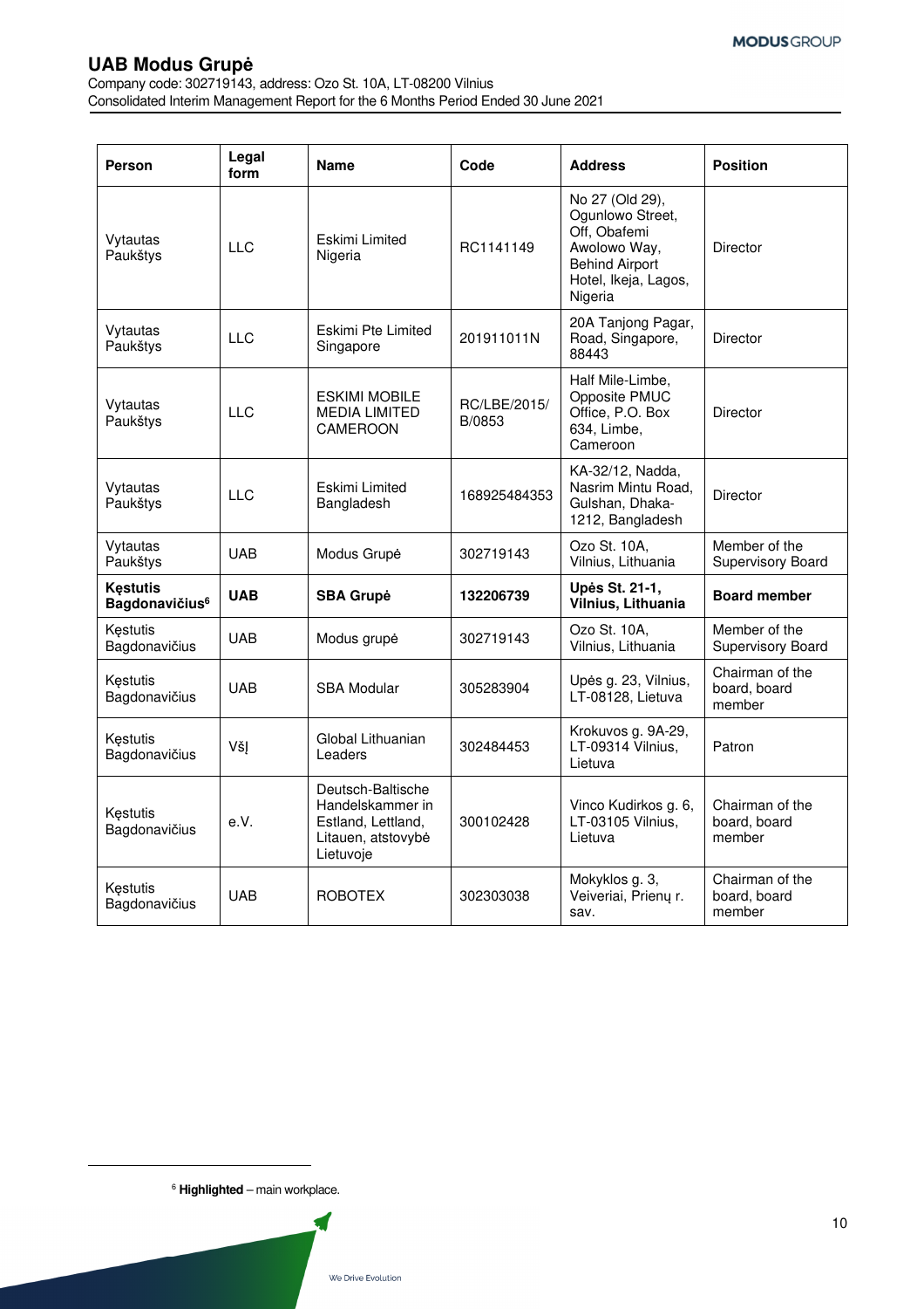Company code: 302719143, address: Ozo St. 10A, LT-08200 Vilnius Consolidated Interim Management Report for the 6 Months Period Ended 30 June 2021

| Person                                               | Legal<br>form | <b>Name</b>                                                                                    | Code                   | <b>Address</b>                                                                                                                  | <b>Position</b>                           |
|------------------------------------------------------|---------------|------------------------------------------------------------------------------------------------|------------------------|---------------------------------------------------------------------------------------------------------------------------------|-------------------------------------------|
| Vytautas<br>Paukštys                                 | <b>LLC</b>    | Eskimi Limited<br>Nigeria                                                                      | RC1141149              | No 27 (Old 29),<br>Ogunlowo Street,<br>Off, Obafemi<br>Awolowo Way,<br><b>Behind Airport</b><br>Hotel, Ikeja, Lagos,<br>Nigeria | <b>Director</b>                           |
| Vytautas<br>Paukštys                                 | <b>LLC</b>    | Eskimi Pte Limited<br>Singapore                                                                | 201911011N             | 20A Tanjong Pagar,<br>Road, Singapore,<br>88443                                                                                 | <b>Director</b>                           |
| Vytautas<br>Paukštys                                 | <b>LLC</b>    | <b>ESKIMI MOBILE</b><br><b>MEDIA LIMITED</b><br>CAMEROON                                       | RC/LBE/2015/<br>B/0853 | Half Mile-Limbe,<br>Opposite PMUC<br>Office, P.O. Box<br>634, Limbe,<br>Cameroon                                                | Director                                  |
| Vytautas<br>Paukštys                                 | <b>LLC</b>    | Eskimi Limited<br>Bangladesh                                                                   | 168925484353           | KA-32/12, Nadda,<br>Nasrim Mintu Road,<br>Gulshan, Dhaka-<br>1212, Bangladesh                                                   | <b>Director</b>                           |
| Vytautas<br>Paukštys                                 | <b>UAB</b>    | Modus Grupė                                                                                    | 302719143              | Ozo St. 10A,<br>Vilnius, Lithuania                                                                                              | Member of the<br>Supervisory Board        |
| <b>Kestutis</b><br><b>Bagdonavičius</b> <sup>6</sup> | <b>UAB</b>    | <b>SBA Grupė</b>                                                                               | 132206739              | Upės St. 21-1,<br>Vilnius, Lithuania                                                                                            | <b>Board member</b>                       |
| Kestutis<br>Bagdonavičius                            | <b>UAB</b>    | Modus grupė                                                                                    | 302719143              | Ozo St. 10A,<br>Vilnius, Lithuania                                                                                              | Member of the<br>Supervisory Board        |
| Kęstutis<br>Bagdonavičius                            | <b>UAB</b>    | <b>SBA Modular</b>                                                                             | 305283904              | Upės g. 23, Vilnius,<br>LT-08128, Lietuva                                                                                       | Chairman of the<br>board, board<br>member |
| Kestutis<br>Bagdonavičius                            | VšJ           | Global Lithuanian<br>Leaders                                                                   | 302484453              | Krokuvos g. 9A-29,<br>LT-09314 Vilnius,<br>Lietuva                                                                              | Patron                                    |
| Kestutis<br>Bagdonavičius                            | e.V.          | Deutsch-Baltische<br>Handelskammer in<br>Estland, Lettland,<br>Litauen, atstovybė<br>Lietuvoje | 300102428              | Vinco Kudirkos g. 6,<br>LT-03105 Vilnius,<br>Lietuva                                                                            | Chairman of the<br>board, board<br>member |
| Kestutis<br>Bagdonavičius                            | <b>UAB</b>    | <b>ROBOTEX</b>                                                                                 | 302303038              | Mokyklos g. 3,<br>Veiveriai, Prienų r.<br>sav.                                                                                  | Chairman of the<br>board, board<br>member |

<sup>6</sup> **Highlighted** – main workplace.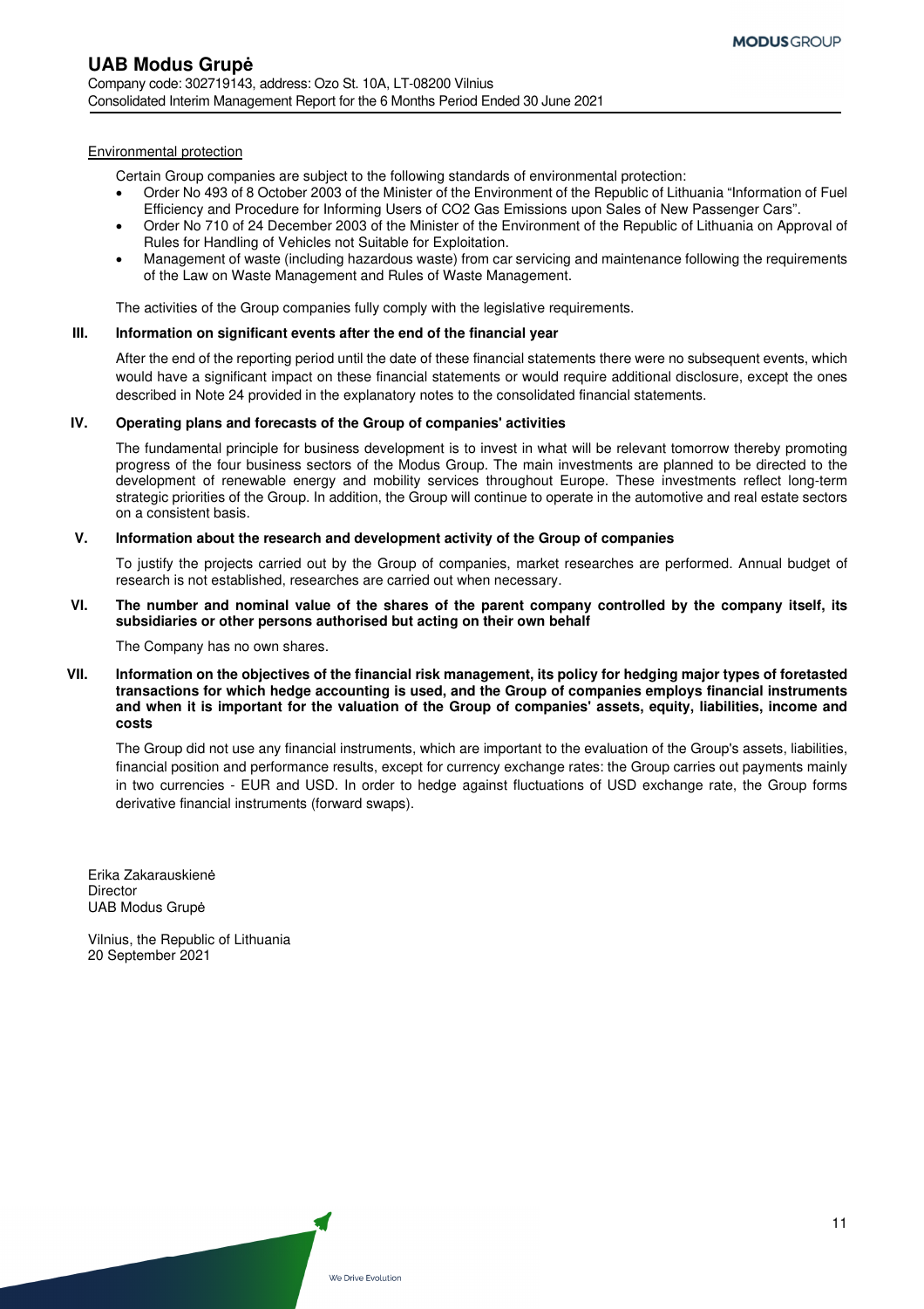#### Environmental protection

Certain Group companies are subject to the following standards of environmental protection:

- Order No 493 of 8 October 2003 of the Minister of the Environment of the Republic of Lithuania "Information of Fuel Efficiency and Procedure for Informing Users of CO2 Gas Emissions upon Sales of New Passenger Cars".
- Order No 710 of 24 December 2003 of the Minister of the Environment of the Republic of Lithuania on Approval of Rules for Handling of Vehicles not Suitable for Exploitation.
- Management of waste (including hazardous waste) from car servicing and maintenance following the requirements of the Law on Waste Management and Rules of Waste Management.

The activities of the Group companies fully comply with the legislative requirements.

### **III. Information on significant events after the end of the financial year**

After the end of the reporting period until the date of these financial statements there were no subsequent events, which would have a significant impact on these financial statements or would require additional disclosure, except the ones described in Note 24 provided in the explanatory notes to the consolidated financial statements.

#### **IV. Operating plans and forecasts of the Group of companies' activities**

The fundamental principle for business development is to invest in what will be relevant tomorrow thereby promoting progress of the four business sectors of the Modus Group. The main investments are planned to be directed to the development of renewable energy and mobility services throughout Europe. These investments reflect long-term strategic priorities of the Group. In addition, the Group will continue to operate in the automotive and real estate sectors on a consistent basis.

### **V. Information about the research and development activity of the Group of companies**

To justify the projects carried out by the Group of companies, market researches are performed. Annual budget of research is not established, researches are carried out when necessary.

#### **VI. The number and nominal value of the shares of the parent company controlled by the company itself, its subsidiaries or other persons authorised but acting on their own behalf**

The Company has no own shares.

**VII. Information on the objectives of the financial risk management, its policy for hedging major types of foretasted transactions for which hedge accounting is used, and the Group of companies employs financial instruments and when it is important for the valuation of the Group of companies' assets, equity, liabilities, income and costs** 

The Group did not use any financial instruments, which are important to the evaluation of the Group's assets, liabilities, financial position and performance results, except for currency exchange rates: the Group carries out payments mainly in two currencies - EUR and USD. In order to hedge against fluctuations of USD exchange rate, the Group forms derivative financial instruments (forward swaps).

Erika Zakarauskienė **Director** UAB Modus Grupė

Vilnius, the Republic of Lithuania 20 September 2021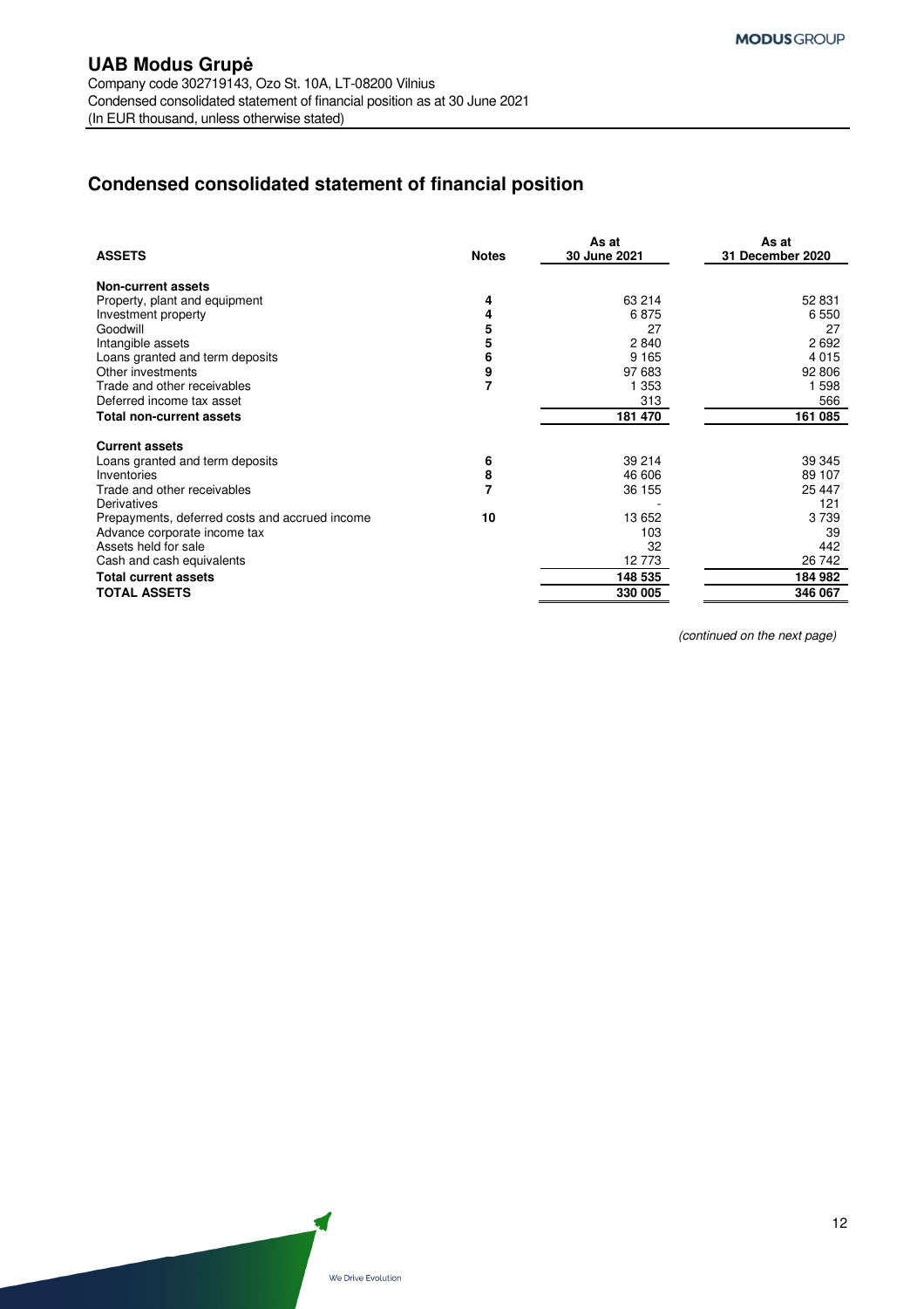# **Condensed consolidated statement of financial position**

| <b>ASSETS</b>                                  | <b>Notes</b> | As at<br>30 June 2021 | As at<br>31 December 2020 |
|------------------------------------------------|--------------|-----------------------|---------------------------|
| Non-current assets                             |              |                       |                           |
| Property, plant and equipment                  | 4            | 63 214                | 52 831                    |
| Investment property                            | 4            | 6875                  | 6 5 5 0                   |
| Goodwill                                       | 5            | 27                    | 27                        |
| Intangible assets                              | 5            | 2840                  | 2692                      |
| Loans granted and term deposits                | 6            | 9 1 6 5               | 4 0 1 5                   |
| Other investments                              | 9            | 97 683                | 92 806                    |
| Trade and other receivables                    | 7            | 1 353                 | 1 598                     |
| Deferred income tax asset                      |              | 313                   | 566                       |
| Total non-current assets                       |              | 181 470               | 161 085                   |
| <b>Current assets</b>                          |              |                       |                           |
| Loans granted and term deposits                | 6            | 39 214                | 39 345                    |
| Inventories                                    | 8            | 46 606                | 89 107                    |
| Trade and other receivables                    |              | 36 155                | 25 447                    |
| Derivatives                                    |              |                       | 121                       |
| Prepayments, deferred costs and accrued income | 10           | 13 652                | 3739                      |
| Advance corporate income tax                   |              | 103                   | 39                        |
| Assets held for sale                           |              | 32                    | 442                       |
| Cash and cash equivalents                      |              | 12773                 | 26 742                    |
| <b>Total current assets</b>                    |              | 148 535               | 184 982                   |
| <b>TOTAL ASSETS</b>                            |              | 330 005               | 346 067                   |

(continued on the next page)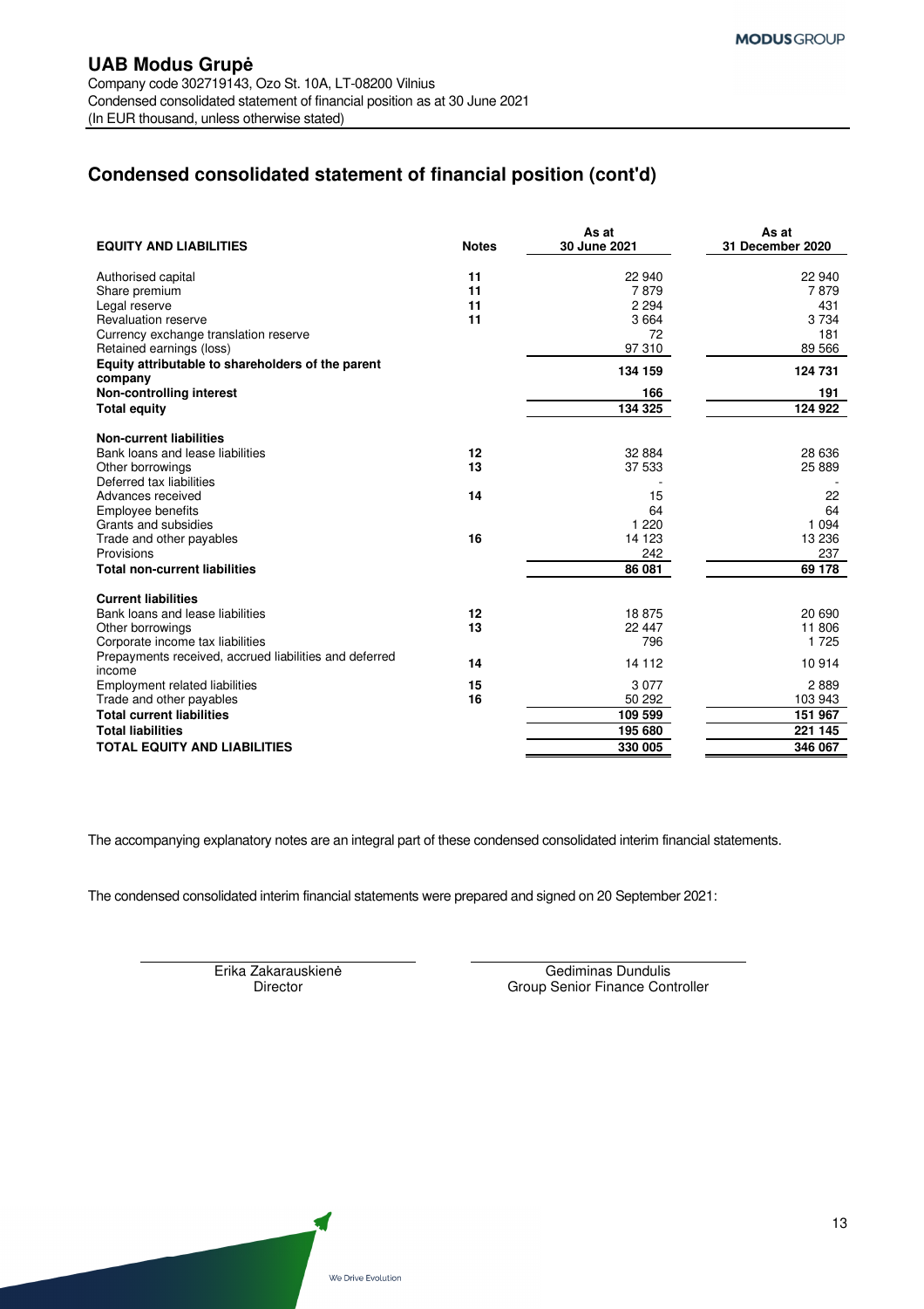# **Condensed consolidated statement of financial position (cont'd)**

| <b>EQUITY AND LIABILITIES</b>                                     | <b>Notes</b> | As at<br>30 June 2021 | As at<br>31 December 2020 |
|-------------------------------------------------------------------|--------------|-----------------------|---------------------------|
| Authorised capital                                                | 11           | 22 940                | 22 940                    |
| Share premium                                                     | 11           | 7879                  | 7879                      |
| Legal reserve                                                     | 11           | 2 2 9 4               | 431                       |
| Revaluation reserve                                               | 11           | 3664                  | 3734                      |
| Currency exchange translation reserve<br>Retained earnings (loss) |              | 72<br>97 310          | 181<br>89 566             |
| Equity attributable to shareholders of the parent                 |              | 134 159               | 124 731                   |
| company                                                           |              |                       |                           |
| Non-controlling interest<br><b>Total equity</b>                   |              | 166<br>134 325        | 191<br>124 922            |
|                                                                   |              |                       |                           |
| <b>Non-current liabilities</b>                                    |              |                       |                           |
| Bank loans and lease liabilities                                  | 12           | 32 8 84               | 28 636                    |
| Other borrowings                                                  | 13           | 37 533                | 25 889                    |
| Deferred tax liabilities                                          |              |                       |                           |
| Advances received<br>Employee benefits                            | 14           | 15<br>64              | 22<br>64                  |
| Grants and subsidies                                              |              | 1 2 2 0               | 1 0 9 4                   |
| Trade and other payables                                          | 16           | 14 123                | 13 236                    |
| Provisions                                                        |              | 242                   | 237                       |
| <b>Total non-current liabilities</b>                              |              | 86 081                | 69 178                    |
|                                                                   |              |                       |                           |
| <b>Current liabilities</b><br>Bank loans and lease liabilities    | 12           | 18875                 | 20 690                    |
| Other borrowings                                                  | 13           | 22 447                | 11 806                    |
| Corporate income tax liabilities                                  |              | 796                   | 1 7 2 5                   |
| Prepayments received, accrued liabilities and deferred            | 14           | 14 112                | 10914                     |
| income                                                            |              |                       |                           |
| Employment related liabilities                                    | 15           | 3077                  | 2889                      |
| Trade and other payables<br><b>Total current liabilities</b>      | 16           | 50 292                | 103 943                   |
| <b>Total liabilities</b>                                          |              | 109 599<br>195 680    | 151 967<br>221 145        |
| <b>TOTAL EQUITY AND LIABILITIES</b>                               |              | 330 005               | 346 067                   |
|                                                                   |              |                       |                           |

The accompanying explanatory notes are an integral part of these condensed consolidated interim financial statements.

The condensed consolidated interim financial statements were prepared and signed on 20 September 2021:

Erika Zakarauskienė Gediminas Dundulis<br>Director Given Group Senior Finance Con Group Senior Finance Controller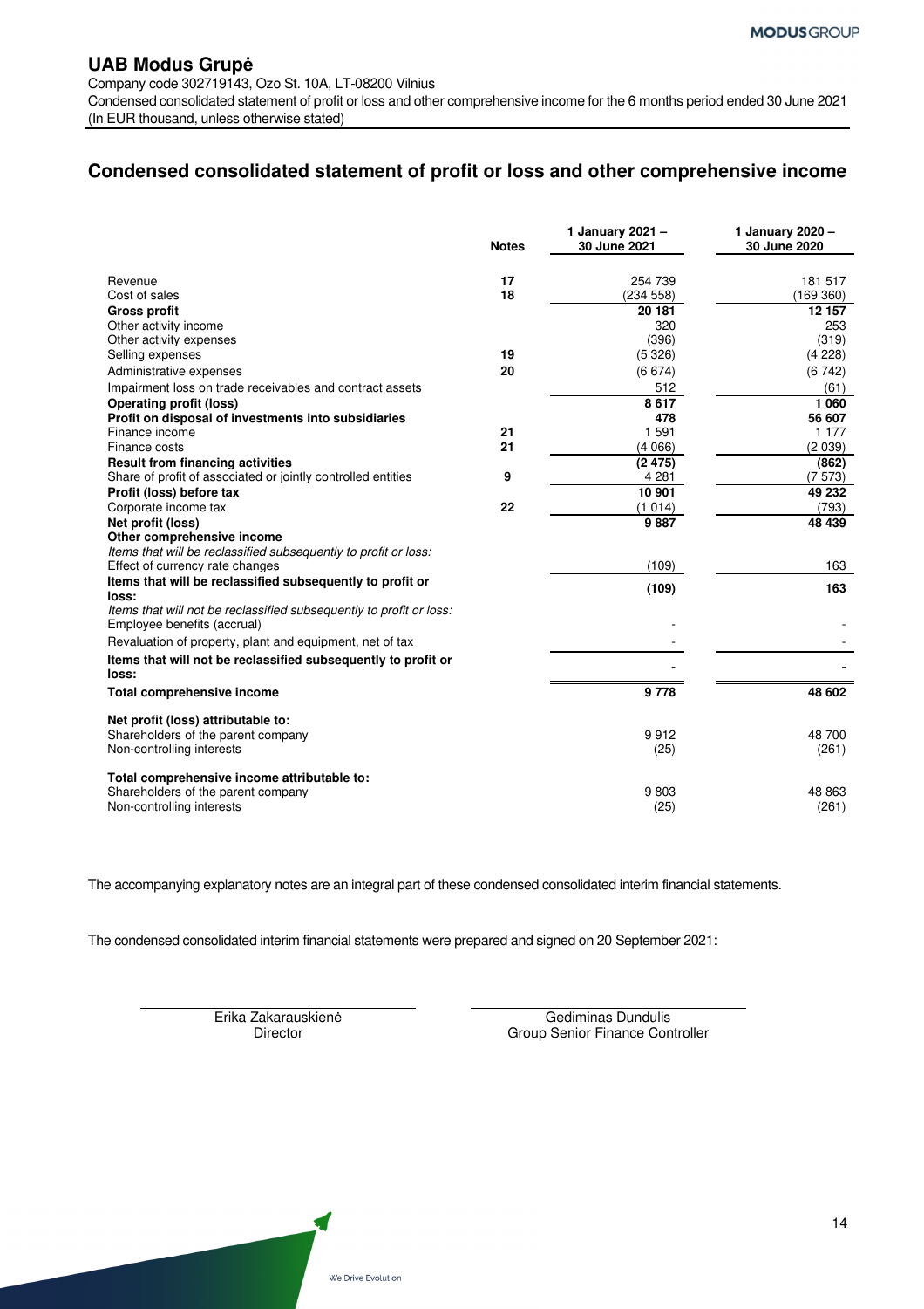Company code 302719143, Ozo St. 10A, LT-08200 Vilnius

Condensed consolidated statement of profit or loss and other comprehensive income for the 6 months period ended 30 June 2021 (In EUR thousand, unless otherwise stated)

# **Condensed consolidated statement of profit or loss and other comprehensive income**

|                                                                                                    | <b>Notes</b> | 1 January 2021 -<br>30 June 2021 | 1 January 2020 -<br>30 June 2020 |
|----------------------------------------------------------------------------------------------------|--------------|----------------------------------|----------------------------------|
| Revenue                                                                                            | 17           | 254 739                          | 181 517                          |
| Cost of sales                                                                                      | 18           | (234 558)                        | (169 360)                        |
| <b>Gross profit</b>                                                                                |              | 20 181                           | 12 157                           |
| Other activity income                                                                              |              | 320                              | 253                              |
| Other activity expenses                                                                            |              | (396)                            | (319)                            |
| Selling expenses                                                                                   | 19           | (5326)                           | (4 228)                          |
| Administrative expenses                                                                            | 20           | (6674)                           | (6742)                           |
| Impairment loss on trade receivables and contract assets                                           |              | 512                              | (61)                             |
| <b>Operating profit (loss)</b>                                                                     |              | 8617                             | 1 0 6 0                          |
| Profit on disposal of investments into subsidiaries                                                |              | 478                              | 56 607                           |
| Finance income                                                                                     | 21           | 1 5 9 1                          | 1 1 7 7                          |
| Finance costs                                                                                      | 21           | (4066)                           | (2039)                           |
| <b>Result from financing activities</b>                                                            |              | (2475)                           | (862)                            |
| Share of profit of associated or jointly controlled entities                                       | 9            | 4 2 8 1                          | (7573)                           |
| Profit (loss) before tax                                                                           |              | 10 901                           | 49 232                           |
| Corporate income tax                                                                               | 22           | (1014)                           | (793)                            |
| Net profit (loss)                                                                                  |              | 9887                             | 48 439                           |
| Other comprehensive income                                                                         |              |                                  |                                  |
| Items that will be reclassified subsequently to profit or loss:                                    |              |                                  |                                  |
| Effect of currency rate changes                                                                    |              | (109)                            | 163                              |
| Items that will be reclassified subsequently to profit or<br>loss:                                 |              | (109)                            | 163                              |
| Items that will not be reclassified subsequently to profit or loss:<br>Employee benefits (accrual) |              |                                  |                                  |
| Revaluation of property, plant and equipment, net of tax                                           |              |                                  |                                  |
| Items that will not be reclassified subsequently to profit or                                      |              |                                  |                                  |
| loss:                                                                                              |              |                                  |                                  |
| <b>Total comprehensive income</b>                                                                  |              | 9778                             | 48 602                           |
| Net profit (loss) attributable to:                                                                 |              |                                  |                                  |
| Shareholders of the parent company                                                                 |              | 9912                             | 48 700                           |
| Non-controlling interests                                                                          |              | (25)                             | (261)                            |
| Total comprehensive income attributable to:<br>Shareholders of the parent company                  |              | 9803                             | 48 863                           |
| Non-controlling interests                                                                          |              | (25)                             | (261)                            |
|                                                                                                    |              |                                  |                                  |

The accompanying explanatory notes are an integral part of these condensed consolidated interim financial statements.

The condensed consolidated interim financial statements were prepared and signed on 20 September 2021:

Erika Zakarauskienė Gediminas Dundulis Director Group Senior Finance Controller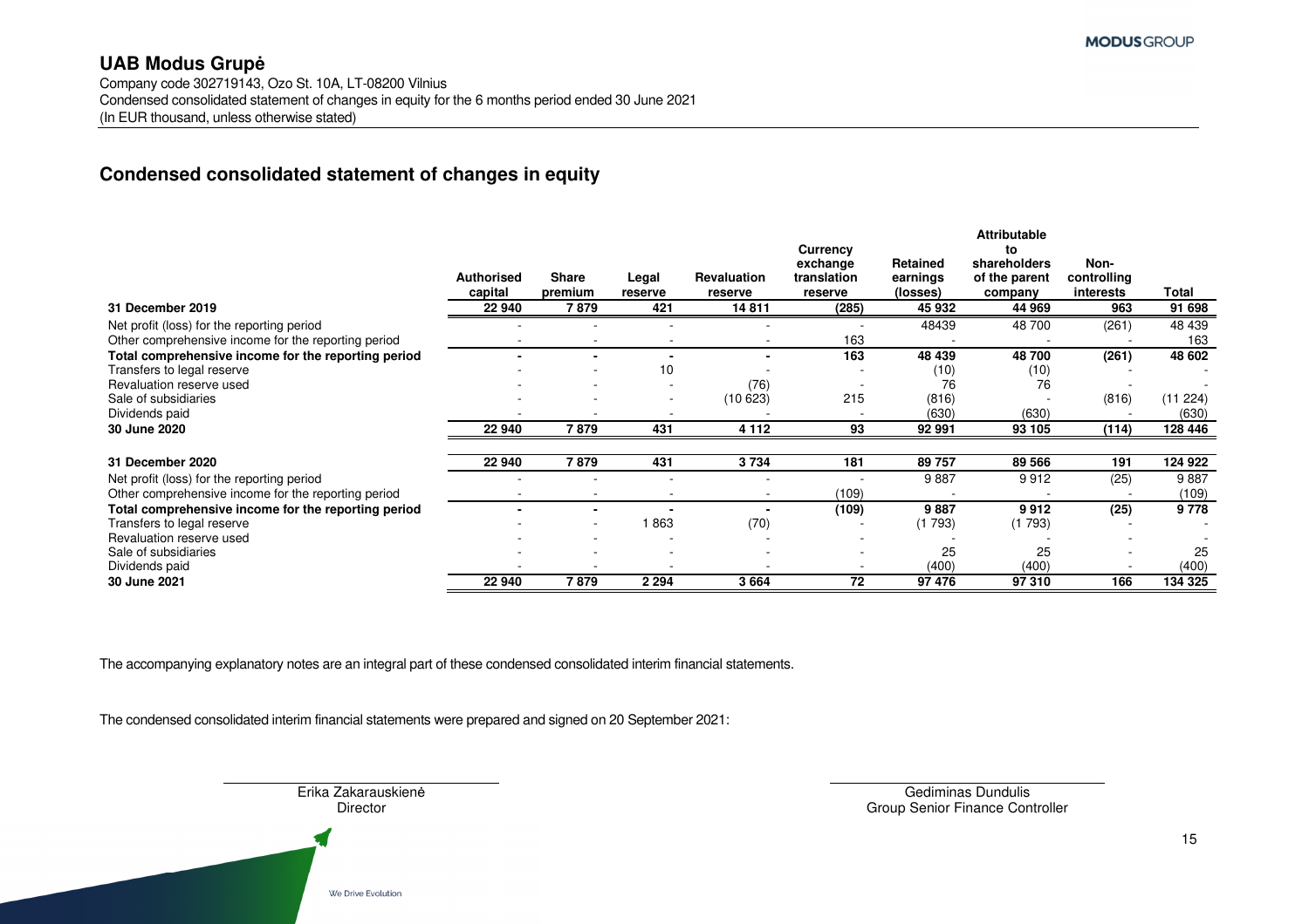Company code 302719143, Ozo St. 10A, LT-08200 Vilnius Condensed consolidated statement of changes in equity for the 6 months period ended 30 June 2021 (In EUR thousand, unless otherwise stated)

# **Condensed consolidated statement of changes in equity**

|                                                                                                   | <b>Authorised</b><br>capital | <b>Share</b><br>premium | Legal<br>reserve | <b>Revaluation</b><br>reserve | Currency<br>exchange<br>translation<br>reserve | Retained<br>earnings<br>(losses) | <b>Attributable</b><br>to<br>shareholders<br>of the parent<br>company | Non-<br>controlling<br>interests | Total             |
|---------------------------------------------------------------------------------------------------|------------------------------|-------------------------|------------------|-------------------------------|------------------------------------------------|----------------------------------|-----------------------------------------------------------------------|----------------------------------|-------------------|
| 31 December 2019                                                                                  | 22 940                       | 7 879                   | 421              | 14811                         | (285)                                          | 45 932                           | 44 969                                                                | 963                              | 91 698            |
| Net profit (loss) for the reporting period<br>Other comprehensive income for the reporting period |                              |                         |                  |                               | 163                                            | 48439                            | 48 700                                                                | (261)                            | 48 439<br>163     |
| Total comprehensive income for the reporting period                                               |                              |                         |                  | $\blacksquare$                | 163                                            | 48 439                           | 48700                                                                 | (261)                            | 48 602            |
| Transfers to legal reserve                                                                        |                              |                         | 10               |                               |                                                | (10)                             | (10)                                                                  |                                  |                   |
| Revaluation reserve used                                                                          |                              |                         |                  | (76)                          |                                                | 76                               | 76                                                                    |                                  |                   |
| Sale of subsidiaries<br>Dividends paid                                                            |                              |                         |                  | (10623)                       | 215                                            | (816)<br>(630)                   | (630)                                                                 | (816)                            | (11 224)<br>(630) |
| 30 June 2020                                                                                      | 22 940                       | 7879                    | 431              | 4 1 1 2                       | 93                                             | 92 991                           | 93 105                                                                | (114)                            | 128 446           |
| 31 December 2020                                                                                  | 22 940                       | 7879                    | 431              | 3734                          | 181                                            | 89757                            | 89 566                                                                | 191                              | 124 922           |
| Net profit (loss) for the reporting period<br>Other comprehensive income for the reporting period |                              |                         |                  | ٠                             | (109)                                          | 9887                             | 9912                                                                  | (25)                             | 9887<br>(109)     |
| Total comprehensive income for the reporting period                                               |                              |                         |                  |                               | (109)                                          | 9887                             | 9912                                                                  | (25)                             | 9778              |
| Transfers to legal reserve                                                                        |                              | ۰                       | 863              | (70)                          |                                                | (1793)                           | (1793)                                                                |                                  |                   |
| Revaluation reserve used                                                                          |                              |                         |                  |                               |                                                |                                  |                                                                       |                                  |                   |
| Sale of subsidiaries                                                                              |                              |                         |                  |                               |                                                | 25                               | 25                                                                    |                                  | 25                |
| Dividends paid                                                                                    |                              |                         |                  |                               |                                                | (400)                            | (400)                                                                 |                                  | (400)             |
| 30 June 2021                                                                                      | 22 940                       | 7 879                   | 2 2 9 4          | 3664                          | 72                                             | 97 476                           | 97 310                                                                | 166                              | 134 325           |

The accompanying explanatory notes are an integral part of these condensed consolidated interim financial statements.

The condensed consolidated interim financial statements were prepared and signed on 20 September 2021:

Erika Zakarauskienė Gediminas Dundulis

Director Group Senior Finance Controller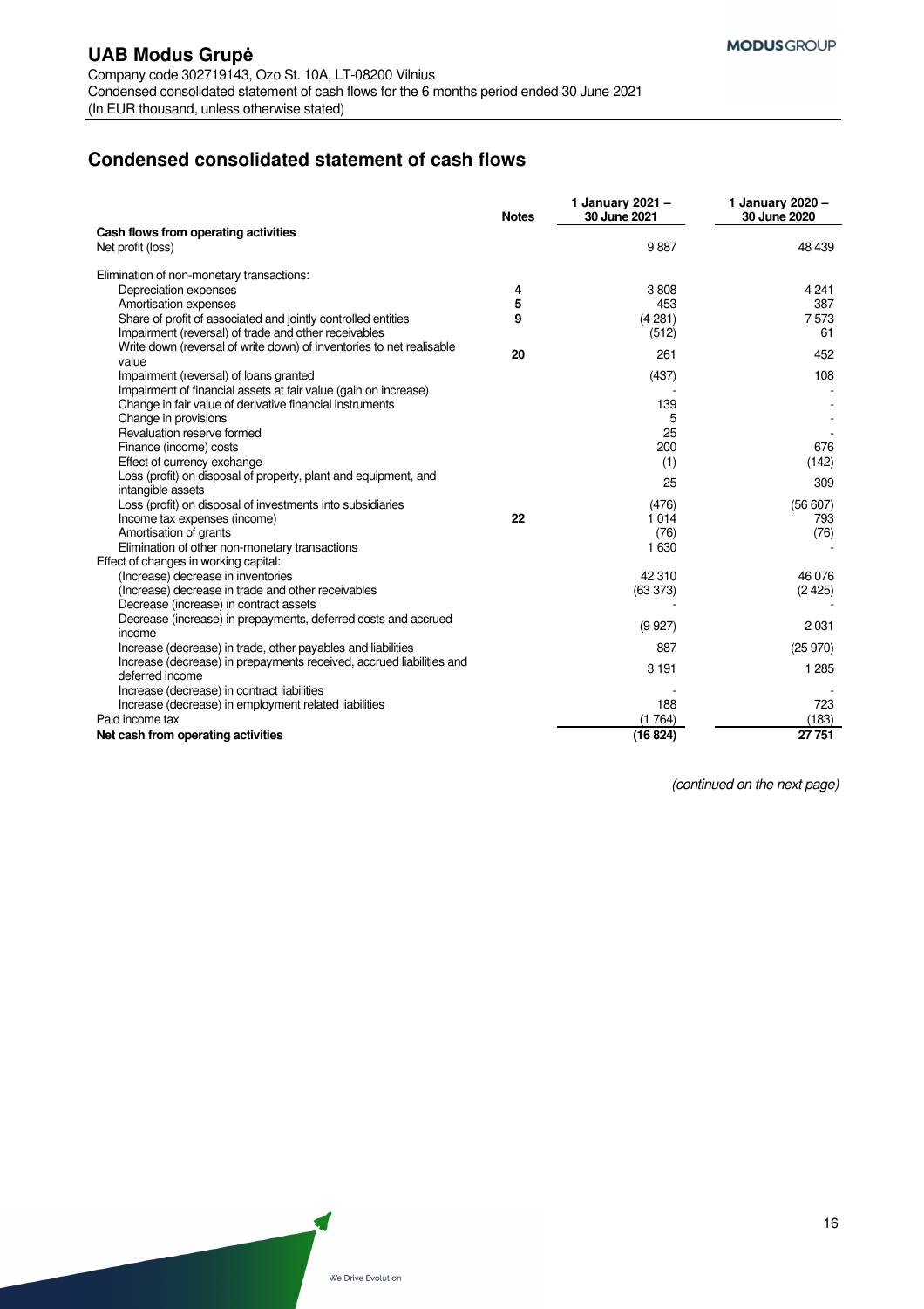# **Condensed consolidated statement of cash flows**

|                                                                      | <b>Notes</b> | 1 January 2021 -<br>30 June 2021 | 1 January 2020 -<br>30 June 2020 |
|----------------------------------------------------------------------|--------------|----------------------------------|----------------------------------|
| Cash flows from operating activities                                 |              |                                  |                                  |
| Net profit (loss)                                                    |              | 9887                             | 48 439                           |
| Elimination of non-monetary transactions:                            |              |                                  |                                  |
| Depreciation expenses                                                | 4            | 3808                             | 4 2 4 1                          |
| Amortisation expenses                                                | 5            | 453                              | 387                              |
| Share of profit of associated and jointly controlled entities        | 9            | (4281)                           | 7573                             |
| Impairment (reversal) of trade and other receivables                 |              | (512)                            | 61                               |
| Write down (reversal of write down) of inventories to net realisable | 20           |                                  |                                  |
| value                                                                |              | 261                              | 452                              |
| Impairment (reversal) of loans granted                               |              | (437)                            | 108                              |
| Impairment of financial assets at fair value (gain on increase)      |              |                                  |                                  |
| Change in fair value of derivative financial instruments             |              | 139                              |                                  |
| Change in provisions                                                 |              | 5                                |                                  |
| Revaluation reserve formed                                           |              | 25                               |                                  |
| Finance (income) costs                                               |              | 200                              | 676                              |
| Effect of currency exchange                                          |              | (1)                              | (142)                            |
| Loss (profit) on disposal of property, plant and equipment, and      |              | 25                               | 309                              |
| intangible assets                                                    |              |                                  |                                  |
| Loss (profit) on disposal of investments into subsidiaries           |              | (476)                            | (56607)                          |
| Income tax expenses (income)                                         | 22           | 1014                             | 793                              |
| Amortisation of grants                                               |              | (76)                             | (76)                             |
| Elimination of other non-monetary transactions                       |              | 1630                             |                                  |
| Effect of changes in working capital:                                |              |                                  |                                  |
| (Increase) decrease in inventories                                   |              | 42 310                           | 46 076                           |
| (Increase) decrease in trade and other receivables                   |              | (63373)                          | (2425)                           |
| Decrease (increase) in contract assets                               |              |                                  |                                  |
| Decrease (increase) in prepayments, deferred costs and accrued       |              | (9927)                           | 2031                             |
| income                                                               |              |                                  |                                  |
| Increase (decrease) in trade, other payables and liabilities         |              | 887                              | (25970)                          |
| Increase (decrease) in prepayments received, accrued liabilities and |              | 3 1 9 1                          | 1 2 8 5                          |
| deferred income                                                      |              |                                  |                                  |
| Increase (decrease) in contract liabilities                          |              |                                  |                                  |
| Increase (decrease) in employment related liabilities                |              | 188                              | 723                              |
| Paid income tax                                                      |              | (1764)                           | (183)                            |
| Net cash from operating activities                                   |              | (16824)                          | 27 751                           |

(continued on the next page)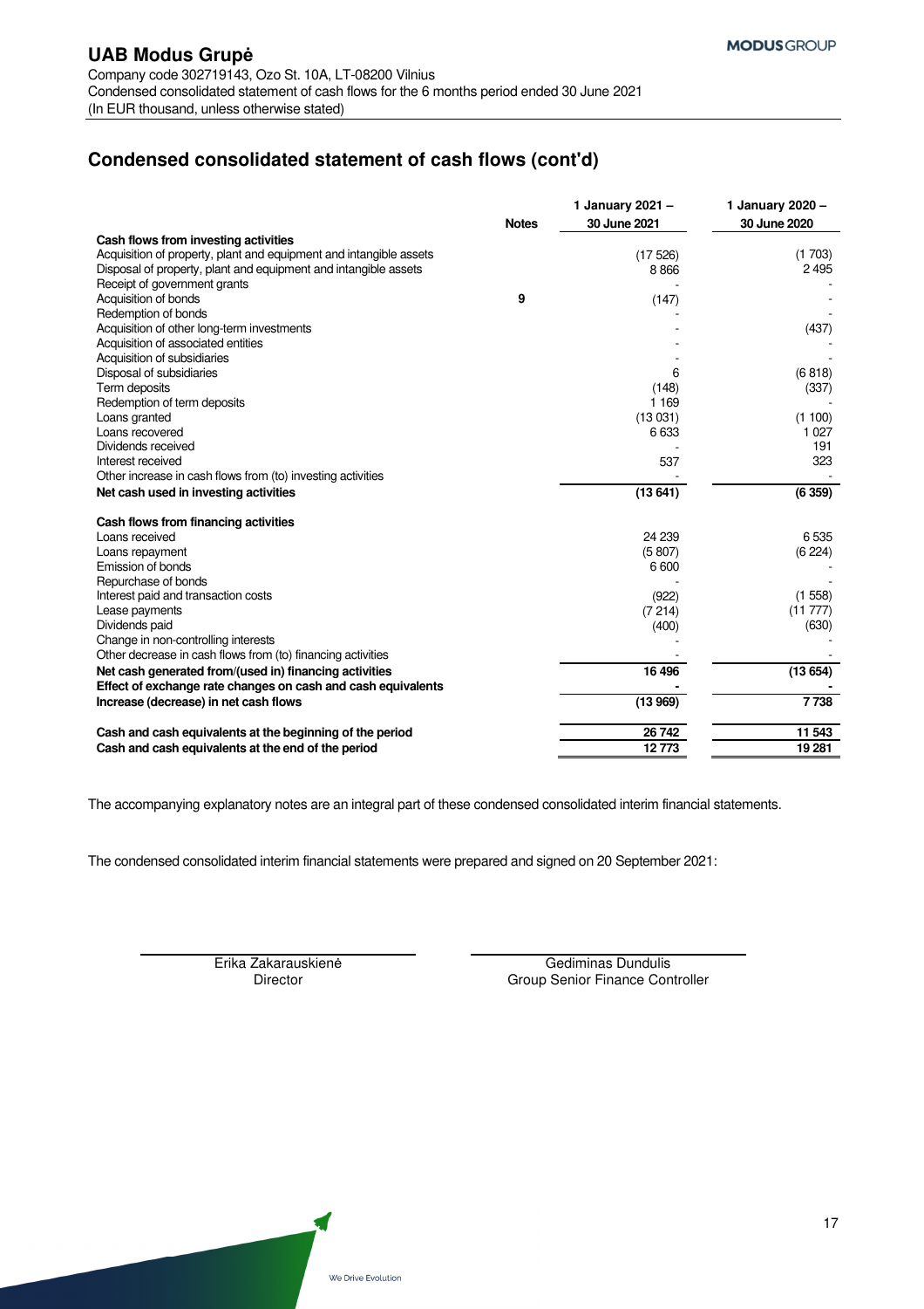# **Condensed consolidated statement of cash flows (cont'd)**

|                                                                    | <b>Notes</b> | 1 January 2021 -<br>30 June 2021 | 1 January 2020 -<br>30 June 2020 |
|--------------------------------------------------------------------|--------------|----------------------------------|----------------------------------|
| Cash flows from investing activities                               |              |                                  |                                  |
| Acquisition of property, plant and equipment and intangible assets |              | (17526)                          | (1703)                           |
| Disposal of property, plant and equipment and intangible assets    |              | 8866                             | 2495                             |
| Receipt of government grants                                       |              |                                  |                                  |
| Acquisition of bonds                                               | 9            | (147)                            |                                  |
| Redemption of bonds                                                |              |                                  |                                  |
| Acquisition of other long-term investments                         |              |                                  | (437)                            |
| Acquisition of associated entities                                 |              |                                  |                                  |
| Acquisition of subsidiaries                                        |              |                                  |                                  |
| Disposal of subsidiaries                                           |              | 6                                | (6818)                           |
| Term deposits                                                      |              | (148)                            | (337)                            |
| Redemption of term deposits                                        |              | 1 1 6 9                          |                                  |
| Loans granted                                                      |              | (13031)                          | (1100)                           |
| Loans recovered                                                    |              | 6633                             | 1 0 2 7                          |
| Dividends received                                                 |              |                                  | 191                              |
| Interest received                                                  |              | 537                              | 323                              |
| Other increase in cash flows from (to) investing activities        |              |                                  |                                  |
| Net cash used in investing activities                              |              | (13641)                          | (6359)                           |
| Cash flows from financing activities                               |              |                                  |                                  |
| Loans received                                                     |              | 24 239                           | 6535                             |
| Loans repayment                                                    |              | (5807)                           | (6224)                           |
| Emission of bonds                                                  |              | 6600                             |                                  |
| Repurchase of bonds                                                |              |                                  |                                  |
| Interest paid and transaction costs                                |              | (922)                            | (1558)                           |
| Lease payments                                                     |              | (7214)                           | (11 777)                         |
| Dividends paid                                                     |              | (400)                            | (630)                            |
| Change in non-controlling interests                                |              |                                  |                                  |
| Other decrease in cash flows from (to) financing activities        |              |                                  |                                  |
| Net cash generated from/(used in) financing activities             |              | 16 49 6                          | (13654)                          |
| Effect of exchange rate changes on cash and cash equivalents       |              |                                  |                                  |
| Increase (decrease) in net cash flows                              |              | (13969)                          | 7738                             |
| Cash and cash equivalents at the beginning of the period           |              | 26 742                           | 11 543                           |
| Cash and cash equivalents at the end of the period                 |              | 12773                            | 19 281                           |
|                                                                    |              |                                  |                                  |

The accompanying explanatory notes are an integral part of these condensed consolidated interim financial statements.

The condensed consolidated interim financial statements were prepared and signed on 20 September 2021:

Erika Zakarauskienė Gediminas Dundulis<br>Director George Group Senior Finance Con Group Senior Finance Controller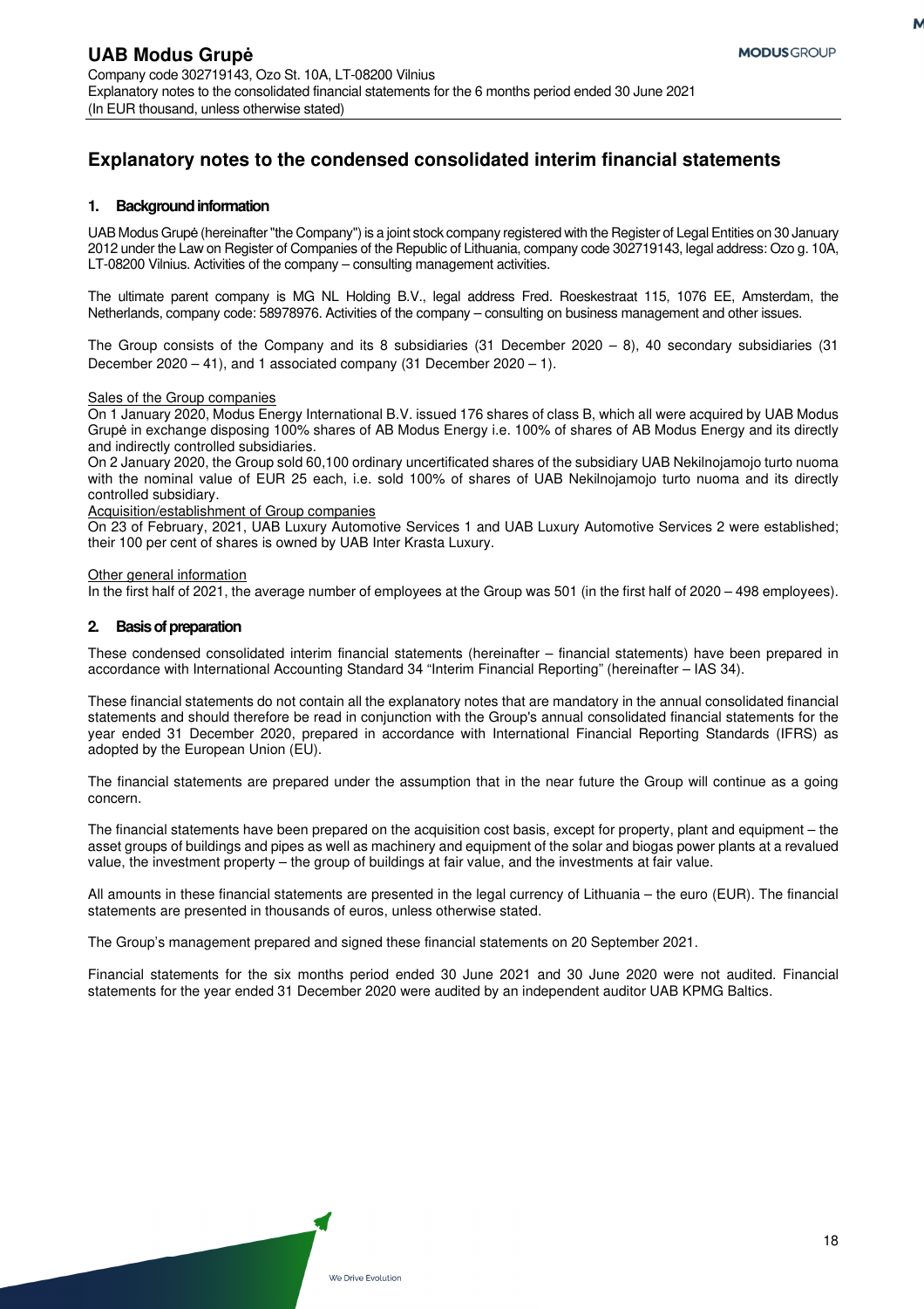# **Explanatory notes to the condensed consolidated interim financial statements**

### **1. Background information**

UAB Modus Grupė (hereinafter "the Company") is a joint stock company registered with the Register of Legal Entities on 30 January 2012 under the Law on Register of Companies of the Republic of Lithuania, company code 302719143, legal address: Ozo g. 10A, LT-08200 Vilnius. Activities of the company – consulting management activities.

The ultimate parent company is MG NL Holding B.V., legal address Fred. Roeskestraat 115, 1076 EE, Amsterdam, the Netherlands, company code: 58978976. Activities of the company – consulting on business management and other issues.

The Group consists of the Company and its 8 subsidiaries (31 December 2020 – 8), 40 secondary subsidiaries (31 December 2020 – 41), and 1 associated company (31 December 2020 – 1).

#### Sales of the Group companies

On 1 January 2020, Modus Energy International B.V. issued 176 shares of class B, which all were acquired by UAB Modus Grupė in exchange disposing 100% shares of AB Modus Energy i.e. 100% of shares of AB Modus Energy and its directly and indirectly controlled subsidiaries.

On 2 January 2020, the Group sold 60,100 ordinary uncertificated shares of the subsidiary UAB Nekilnojamojo turto nuoma with the nominal value of EUR 25 each, i.e. sold 100% of shares of UAB Nekilnojamojo turto nuoma and its directly controlled subsidiary.

Acquisition/establishment of Group companies

On 23 of February, 2021, UAB Luxury Automotive Services 1 and UAB Luxury Automotive Services 2 were established; their 100 per cent of shares is owned by UAB Inter Krasta Luxury.

Other general information

In the first half of 2021, the average number of employees at the Group was 501 (in the first half of 2020 – 498 employees).

### **2. Basis of preparation**

These condensed consolidated interim financial statements (hereinafter – financial statements) have been prepared in accordance with International Accounting Standard 34 "Interim Financial Reporting" (hereinafter – IAS 34).

These financial statements do not contain all the explanatory notes that are mandatory in the annual consolidated financial statements and should therefore be read in conjunction with the Group's annual consolidated financial statements for the year ended 31 December 2020, prepared in accordance with International Financial Reporting Standards (IFRS) as adopted by the European Union (EU).

The financial statements are prepared under the assumption that in the near future the Group will continue as a going concern.

The financial statements have been prepared on the acquisition cost basis, except for property, plant and equipment – the asset groups of buildings and pipes as well as machinery and equipment of the solar and biogas power plants at a revalued value, the investment property – the group of buildings at fair value, and the investments at fair value.

All amounts in these financial statements are presented in the legal currency of Lithuania – the euro (EUR). The financial statements are presented in thousands of euros, unless otherwise stated.

The Group's management prepared and signed these financial statements on 20 September 2021.

Financial statements for the six months period ended 30 June 2021 and 30 June 2020 were not audited. Financial statements for the year ended 31 December 2020 were audited by an independent auditor UAB KPMG Baltics.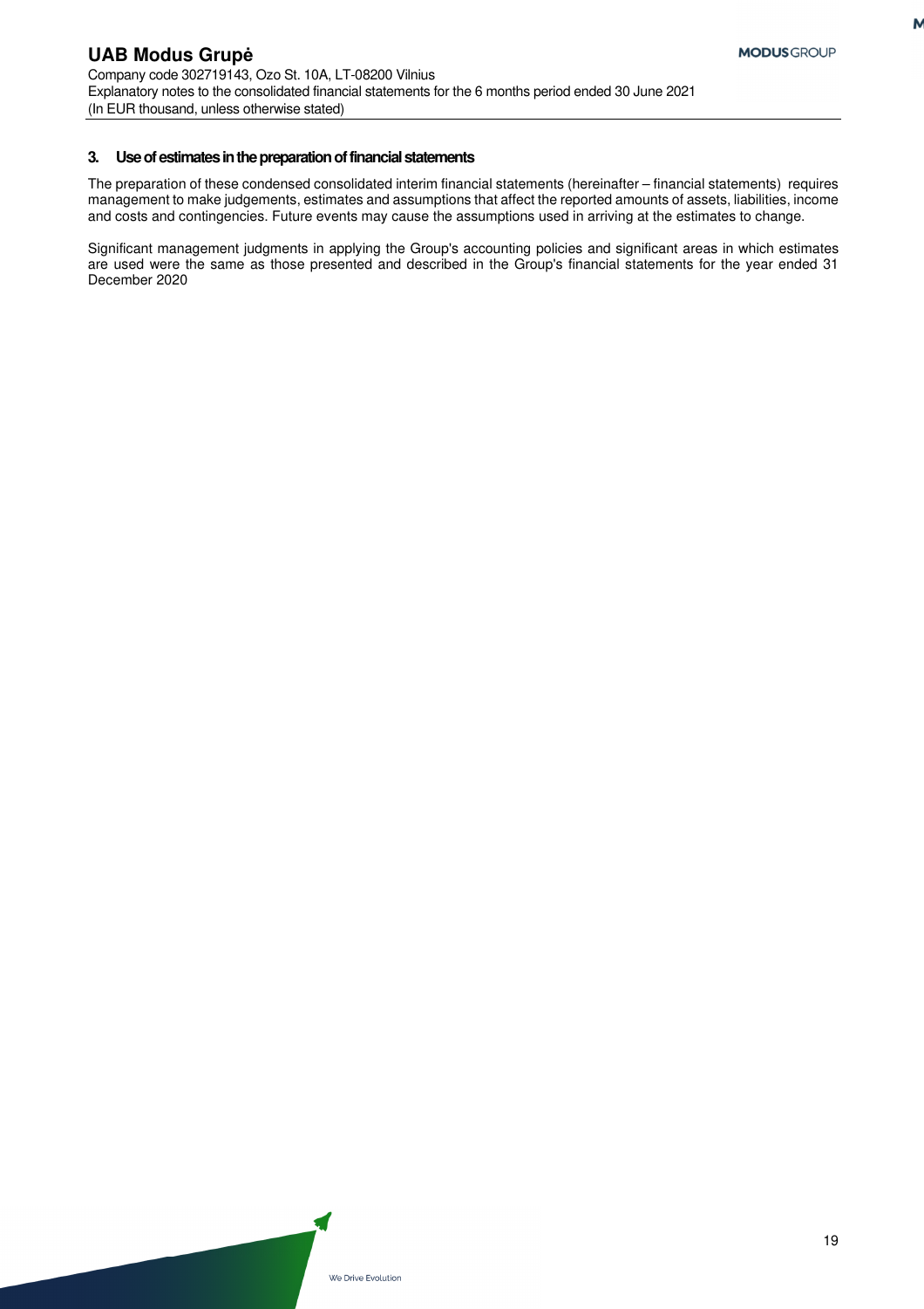M

### **3. Use of estimates in the preparation of financial statements**

The preparation of these condensed consolidated interim financial statements (hereinafter – financial statements) requires management to make judgements, estimates and assumptions that affect the reported amounts of assets, liabilities, income and costs and contingencies. Future events may cause the assumptions used in arriving at the estimates to change.

Significant management judgments in applying the Group's accounting policies and significant areas in which estimates are used were the same as those presented and described in the Group's financial statements for the year ended 31 December 2020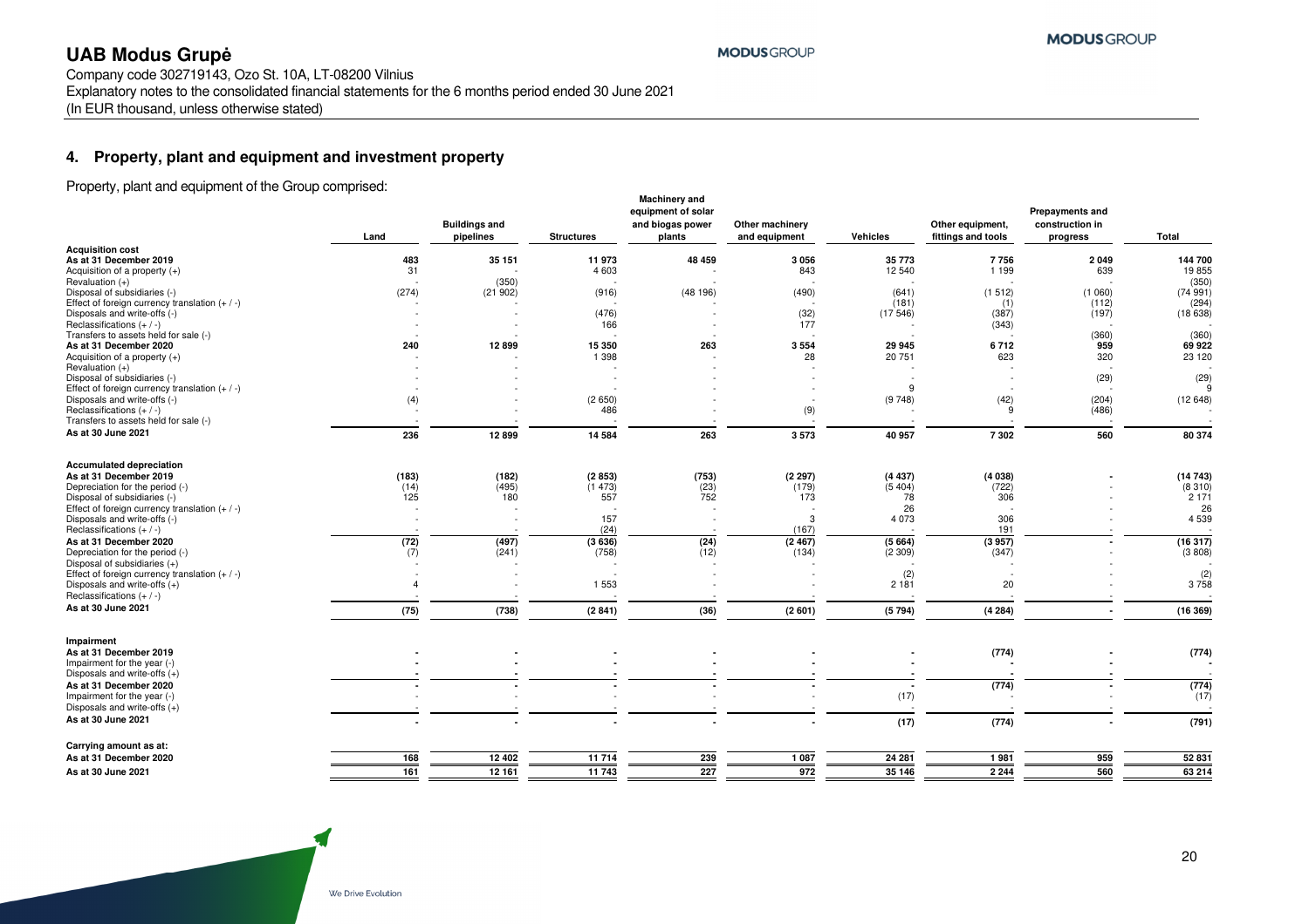Company code 302719143, Ozo St. 10A, LT-08200 Vilnius Explanatory notes to the consolidated financial statements for the 6 months period ended 30 June 2021 (In EUR thousand, unless otherwise stated)

### **4. Property, plant and equipment and investment property**

Property, plant and equipment of the Group comprised:

|                                                                                  | Land           | <b>Buildings and</b><br>pipelines | <b>Structures</b> | <b>Machinery and</b><br>equipment of solar<br>and biogas power<br>plants | Other machinery<br>and equipment | Vehicles       | Other equipment,<br>fittings and tools | <b>Prepayments and</b><br>construction in<br>progress | Total             |
|----------------------------------------------------------------------------------|----------------|-----------------------------------|-------------------|--------------------------------------------------------------------------|----------------------------------|----------------|----------------------------------------|-------------------------------------------------------|-------------------|
| <b>Acquisition cost</b><br>As at 31 December 2019                                | 483            | 35 151                            | 11973             | 48 459                                                                   | 3056                             | 35 773         | 7756                                   | 2 0 4 9                                               | 144 700           |
| Acquisition of a property $(+)$                                                  | 31             |                                   | 4 6 0 3           |                                                                          | 843                              | 12 540         | 1 1 9 9                                | 639                                                   | 19855             |
| Revaluation (+)                                                                  |                | (350)                             |                   |                                                                          |                                  |                |                                        |                                                       | (350)             |
| Disposal of subsidiaries (-)<br>Effect of foreign currency translation $(+ / -)$ | (274)          | (21902)                           | (916)             | (48196)                                                                  | (490)                            | (641)<br>(181) | (1512)<br>(1)                          | (1060)<br>(112)                                       | (74991)<br>(294)  |
| Disposals and write-offs (-)                                                     |                |                                   | (476)             |                                                                          | (32)                             | (17546)        | (387)                                  | (197)                                                 | (18638)           |
| Reclassifications $(+ / -)$                                                      |                |                                   | 166               |                                                                          | 177                              |                | (343)                                  |                                                       |                   |
| Transfers to assets held for sale (-)                                            |                |                                   |                   |                                                                          |                                  |                |                                        | (360)                                                 | (360)             |
| As at 31 December 2020                                                           | 240            | 12899                             | 15 350            | 263                                                                      | 3554                             | 29 945         | 6712                                   | 959                                                   | 69 922            |
| Acquisition of a property $(+)$<br>Revaluation (+)                               |                |                                   | 1 3 9 8           |                                                                          | 28                               | 20 751         | 623                                    | 320                                                   | 23 120            |
| Disposal of subsidiaries (-)                                                     |                |                                   |                   |                                                                          |                                  |                |                                        | (29)                                                  | (29)              |
| Effect of foreign currency translation $(+ / -)$                                 |                |                                   |                   |                                                                          |                                  | 9              |                                        |                                                       |                   |
| Disposals and write-offs (-)                                                     | (4)            |                                   | (2650)            |                                                                          |                                  | (9748)         | (42)                                   | (204)                                                 | (12648)           |
| Reclassifications $(+ / -)$                                                      |                |                                   | 486               |                                                                          | (9)                              |                | 9                                      | (486)                                                 |                   |
| Transfers to assets held for sale (-)                                            |                |                                   |                   |                                                                          |                                  |                |                                        |                                                       |                   |
| As at 30 June 2021                                                               | 236            | 12899                             | 14 5 84           | 263                                                                      | 3573                             | 40 957         | 7302                                   | 560                                                   | 80 374            |
| <b>Accumulated depreciation</b>                                                  |                |                                   |                   |                                                                          |                                  |                |                                        |                                                       |                   |
| As at 31 December 2019                                                           | (183)          | (182)                             | (2853)            | (753)                                                                    | (2297)                           | (4437)         | (4038)                                 |                                                       | (14743)           |
| Depreciation for the period (-)<br>Disposal of subsidiaries (-)                  | (14)<br>125    | (495)<br>180                      | (1473)<br>557     | (23)<br>752                                                              | (179)<br>173                     | (5404)<br>78   | (722)<br>306                           |                                                       | (8310)<br>2 1 7 1 |
| Effect of foreign currency translation $(+/-)$                                   |                |                                   |                   |                                                                          |                                  | 26             |                                        |                                                       | 26                |
| Disposals and write-offs (-)                                                     |                |                                   | 157               |                                                                          | 3                                | 4 0 7 3        | 306                                    |                                                       | 4 5 3 9           |
| Reclassifications $(+ / -)$                                                      |                |                                   | (24)              |                                                                          | (167)                            |                | 191                                    |                                                       |                   |
| As at 31 December 2020                                                           | (72)           | (497)                             | (3636)            | (24)                                                                     | (2467)                           | (5664)         | (3957)                                 |                                                       | (16317)           |
| Depreciation for the period (-)                                                  | (7)            | (241)                             | (758)             | (12)                                                                     | (134)                            | (2309)         | (347)                                  |                                                       | (3808)            |
| Disposal of subsidiaries (+)<br>Effect of foreign currency translation $(+ / -)$ |                |                                   |                   |                                                                          |                                  | (2)            |                                        |                                                       |                   |
| Disposals and write-offs $(+)$                                                   | $\overline{4}$ |                                   | 1 5 5 3           |                                                                          |                                  | 2181           | 20                                     |                                                       | $(2)$<br>3 758    |
| Reclassifications $(+ / -)$                                                      |                |                                   |                   |                                                                          |                                  |                |                                        |                                                       |                   |
| As at 30 June 2021                                                               | (75)           | (738)                             | (2841)            | (36)                                                                     | (2601)                           | (5794)         | (4284)                                 |                                                       | (16369)           |
| Impairment                                                                       |                |                                   |                   |                                                                          |                                  |                |                                        |                                                       |                   |
| As at 31 December 2019                                                           |                |                                   |                   |                                                                          |                                  |                | (774)                                  |                                                       | (774)             |
| Impairment for the year (-)                                                      |                |                                   |                   |                                                                          |                                  |                |                                        |                                                       |                   |
| Disposals and write-offs $(+)$                                                   |                |                                   |                   |                                                                          |                                  |                |                                        |                                                       |                   |
| As at 31 December 2020                                                           |                |                                   |                   |                                                                          |                                  |                | (774)                                  |                                                       | (774)             |
| Impairment for the year (-)                                                      |                |                                   |                   |                                                                          |                                  | (17)           |                                        |                                                       | (17)              |
| Disposals and write-offs $(+)$                                                   |                |                                   |                   |                                                                          |                                  |                |                                        |                                                       |                   |
| As at 30 June 2021                                                               |                |                                   |                   |                                                                          |                                  | (17)           | (774)                                  |                                                       | (791)             |
| Carrying amount as at:                                                           |                |                                   |                   |                                                                          |                                  |                |                                        |                                                       |                   |
| As at 31 December 2020                                                           | 168            | 12 402                            | 11 714            | 239                                                                      | 1 0 8 7                          | 24 281         | 1981                                   | 959                                                   | 52 831            |
| As at 30 June 2021                                                               | 161            | 12 16 1                           | 11 743            | 227                                                                      | 972                              | 35 146         | 2 2 4 4                                | 560                                                   | 63 214            |

**MODUS GROUP**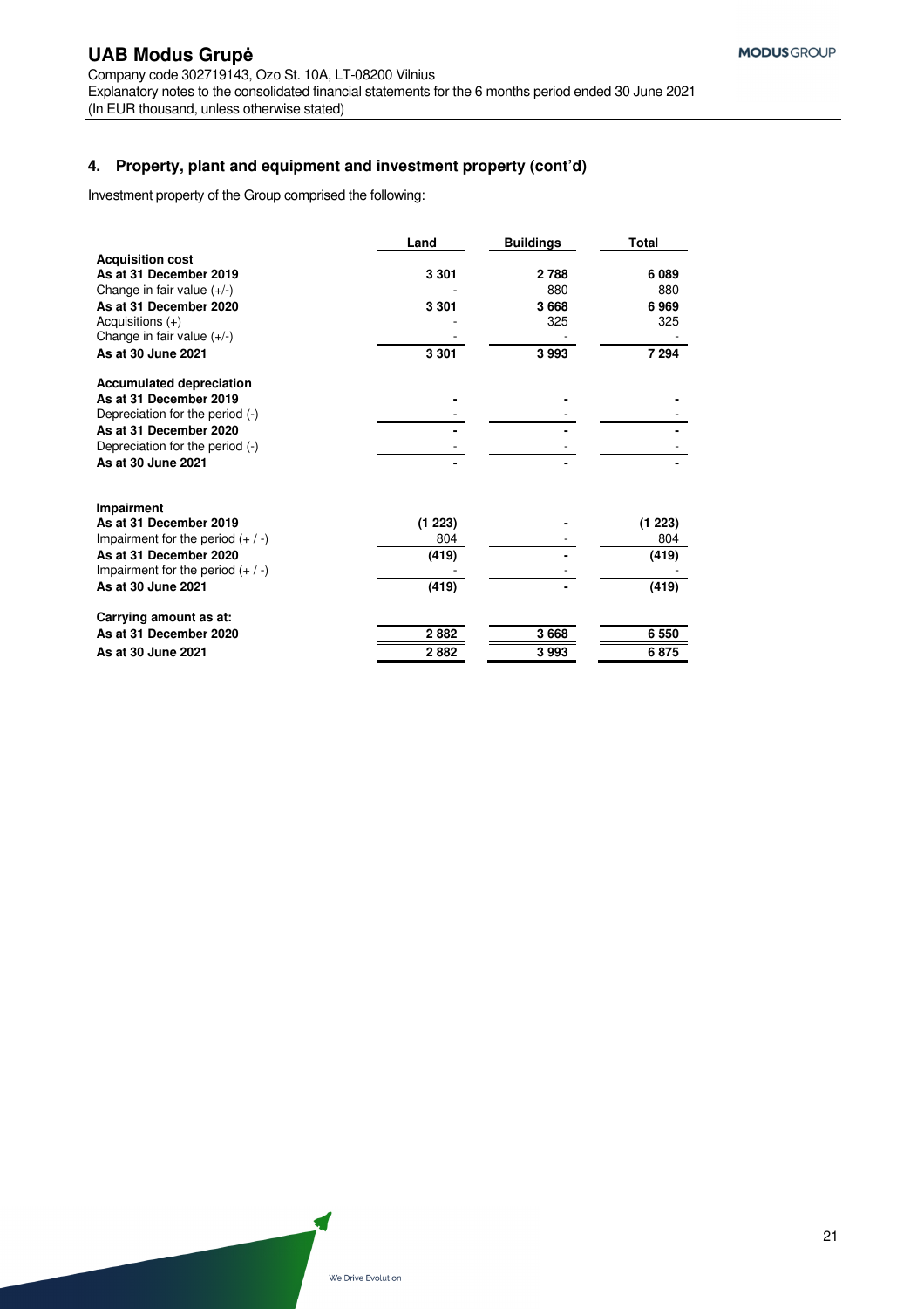### **4. Property, plant and equipment and investment property (cont'd)**

Investment property of the Group comprised the following:

|                                     | Land    | <b>Buildings</b> | Total   |
|-------------------------------------|---------|------------------|---------|
| <b>Acquisition cost</b>             |         |                  |         |
| As at 31 December 2019              | 3 3 0 1 | 2 788            | 6089    |
| Change in fair value $(+/-)$        |         | 880              | 880     |
| As at 31 December 2020              | 3 3 0 1 | 3668             | 6969    |
| Acquisitions $(+)$                  |         | 325              | 325     |
| Change in fair value $(+/-)$        |         |                  |         |
| As at 30 June 2021                  | 3 3 0 1 | 3993             | 7 294   |
| <b>Accumulated depreciation</b>     |         |                  |         |
| As at 31 December 2019              |         |                  |         |
| Depreciation for the period (-)     |         |                  |         |
| As at 31 December 2020              |         |                  |         |
| Depreciation for the period (-)     |         |                  |         |
| As at 30 June 2021                  |         |                  |         |
| <b>Impairment</b>                   |         |                  |         |
| As at 31 December 2019              | (1 223) |                  | (1 223) |
| Impairment for the period $(+ / -)$ | 804     |                  | 804     |
| As at 31 December 2020              | (419)   |                  | (419)   |
| Impairment for the period $(+ / -)$ |         |                  |         |
| As at 30 June 2021                  | (419)   |                  | (419)   |
| Carrying amount as at:              |         |                  |         |
| As at 31 December 2020              | 2882    | 3668             | 6 5 5 0 |
| As at 30 June 2021                  | 2882    | 3993             | 6875    |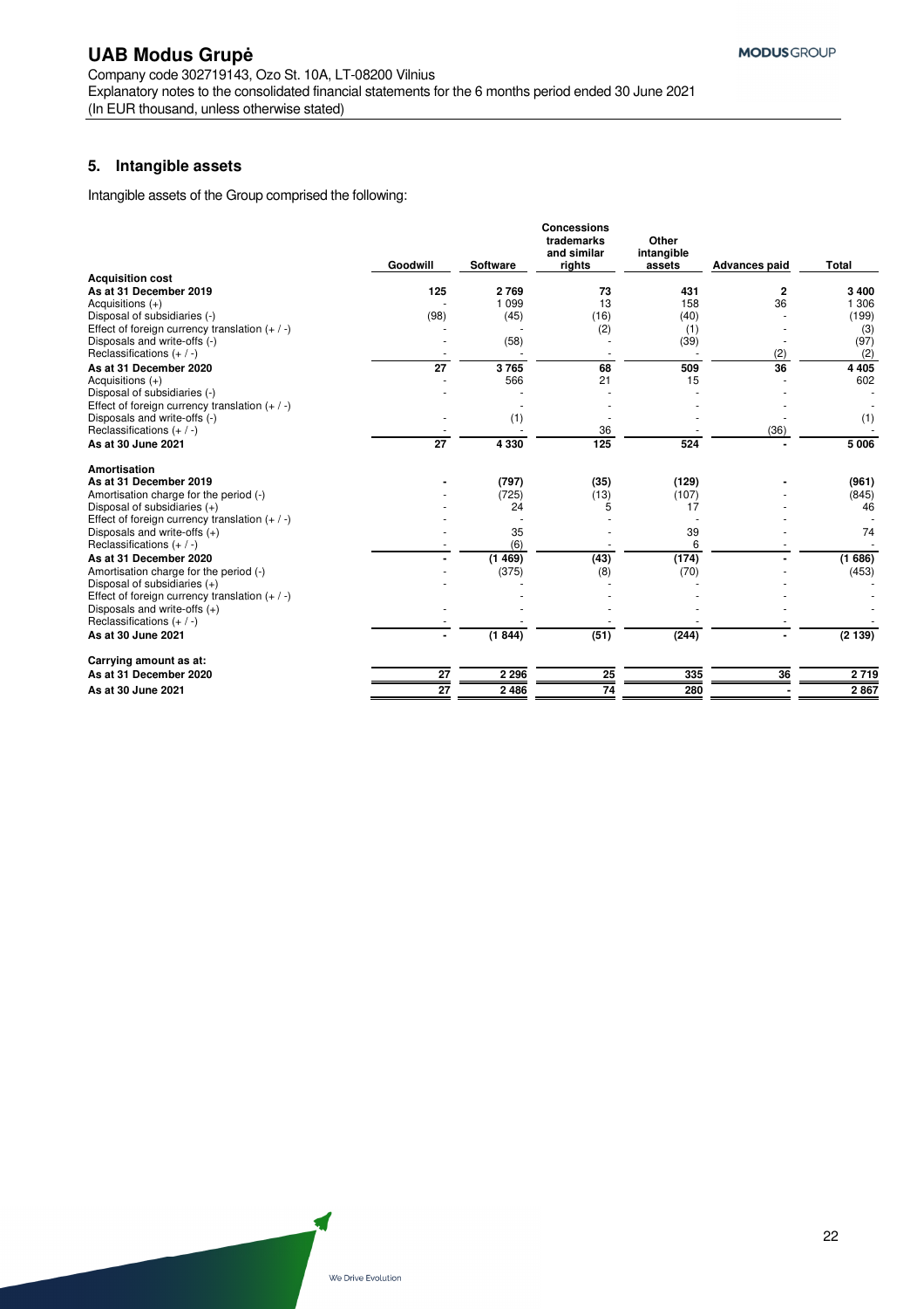### **5. Intangible assets**

Intangible assets of the Group comprised the following:

|                                                  | Goodwill        | <b>Software</b> | <b>Concessions</b><br>trademarks<br>and similar<br>rights | Other<br>intangible<br>assets | <b>Advances paid</b> | <b>Total</b> |
|--------------------------------------------------|-----------------|-----------------|-----------------------------------------------------------|-------------------------------|----------------------|--------------|
| <b>Acquisition cost</b>                          |                 |                 |                                                           |                               |                      |              |
| As at 31 December 2019                           | 125             | 2769            | 73                                                        | 431                           | $\mathbf{2}$         | 3 4 0 0      |
| Acquisitions $(+)$                               |                 | 1 0 9 9         | 13                                                        | 158                           | 36                   | 1 306        |
| Disposal of subsidiaries (-)                     | (98)            | (45)            | (16)                                                      | (40)                          |                      | (199)        |
| Effect of foreign currency translation $(+ / -)$ |                 |                 | (2)                                                       | (1)                           |                      | (3)          |
| Disposals and write-offs (-)                     |                 | (58)            |                                                           | (39)                          |                      | (97)         |
| Reclassifications $(+ / -)$                      |                 |                 |                                                           |                               | (2)                  | (2)          |
| As at 31 December 2020                           | $\overline{27}$ | 3765            | 68                                                        | 509                           | 36                   | 4 4 0 5      |
| Acquisitions $(+)$                               |                 | 566             | 21                                                        | 15                            |                      | 602          |
| Disposal of subsidiaries (-)                     |                 |                 |                                                           |                               |                      |              |
| Effect of foreign currency translation $(+ / -)$ |                 |                 |                                                           |                               |                      |              |
| Disposals and write-offs (-)                     |                 | (1)             |                                                           |                               |                      | (1)          |
| Reclassifications $(+ / -)$                      |                 |                 | 36                                                        |                               | (36)                 |              |
| As at 30 June 2021                               | $\overline{27}$ | 4 3 3 0         | 125                                                       | 524                           |                      | 5 0 0 6      |
| Amortisation                                     |                 |                 |                                                           |                               |                      |              |
| As at 31 December 2019                           |                 | (797)           | (35)                                                      | (129)                         |                      | (961)        |
| Amortisation charge for the period (-)           |                 | (725)           | (13)                                                      | (107)                         |                      | (845)        |
| Disposal of subsidiaries $(+)$                   |                 | 24              | 5                                                         | 17                            |                      | 46           |
| Effect of foreign currency translation $(+ / -)$ |                 |                 |                                                           |                               |                      |              |
| Disposals and write-offs $(+)$                   |                 | 35              |                                                           | 39                            |                      | 74           |
| Reclassifications $(+ / -)$                      |                 | (6)             |                                                           | 6                             |                      |              |
| As at 31 December 2020                           |                 | (1469)          | (43)                                                      | (174)                         |                      | (1686)       |
| Amortisation charge for the period (-)           |                 | (375)           | (8)                                                       | (70)                          |                      | (453)        |
| Disposal of subsidiaries $(+)$                   |                 |                 |                                                           |                               |                      |              |
| Effect of foreign currency translation $(+ / -)$ |                 |                 |                                                           |                               |                      |              |
| Disposals and write-offs $(+)$                   |                 |                 |                                                           |                               |                      |              |
| Reclassifications $(+ / -)$                      |                 |                 |                                                           |                               |                      |              |
| As at 30 June 2021                               |                 | (1844)          | (51)                                                      | (244)                         |                      | (2139)       |
| Carrying amount as at:                           |                 |                 |                                                           |                               |                      |              |
| As at 31 December 2020                           | 27              | 2 2 9 6         | 25                                                        | 335                           | 36                   | 2719         |
| As at 30 June 2021                               | $\overline{27}$ | 2486            | 74                                                        | 280                           |                      | 2867         |
|                                                  |                 |                 |                                                           |                               |                      |              |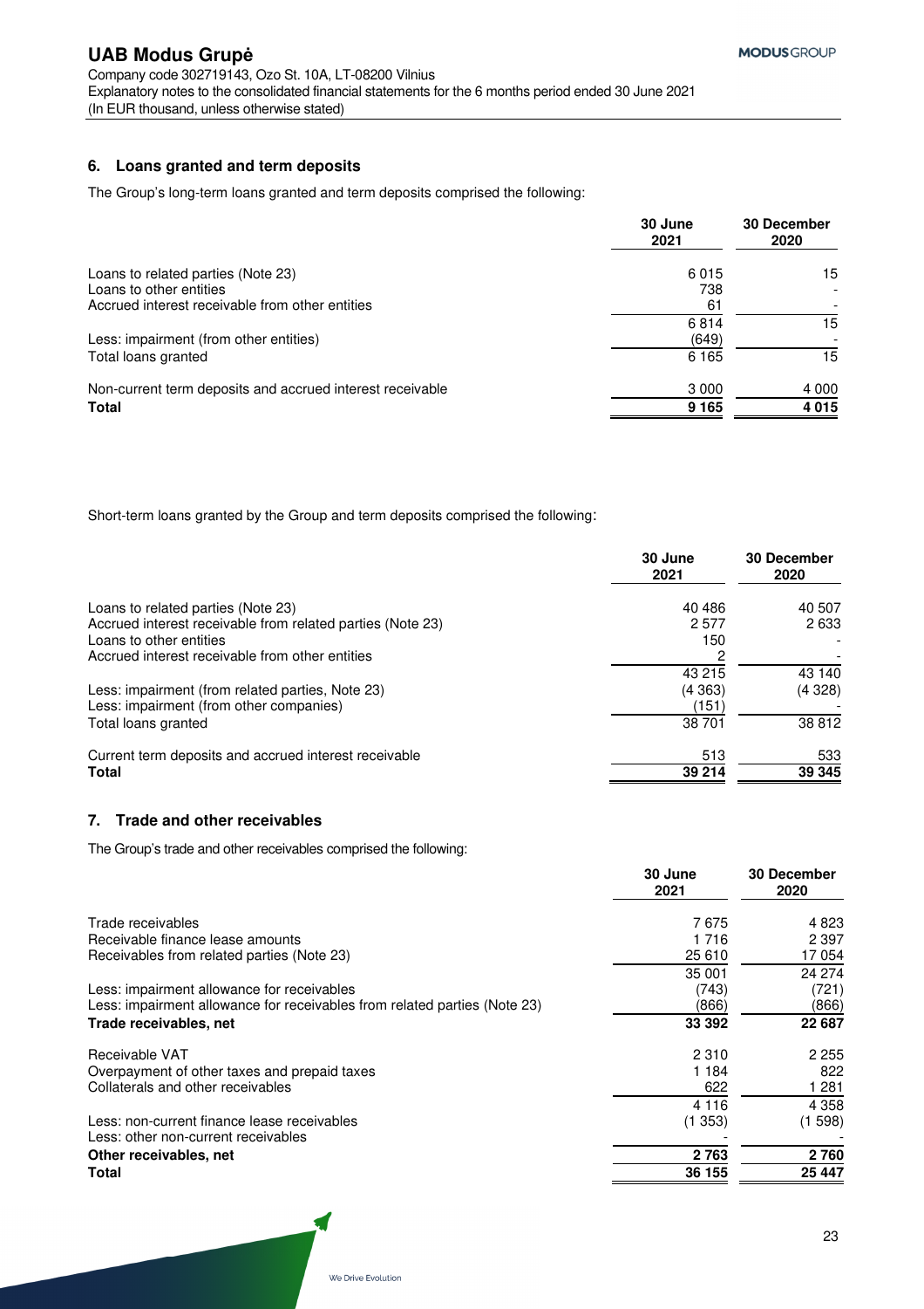### **6. Loans granted and term deposits**

The Group's long-term loans granted and term deposits comprised the following:

|                                                                    | 30 June<br>2021    | <b>30 December</b><br>2020 |
|--------------------------------------------------------------------|--------------------|----------------------------|
| Loans to related parties (Note 23)<br>Loans to other entities      | 6015<br>738        | 15                         |
| Accrued interest receivable from other entities                    | -61                |                            |
| Less: impairment (from other entities)                             | 6814<br>(649)      | 15                         |
| Total loans granted                                                | 6 1 6 5            | 15                         |
| Non-current term deposits and accrued interest receivable<br>Total | 3 0 0 0<br>9 1 6 5 | 4 0 0 0<br>4015            |

Short-term loans granted by the Group and term deposits comprised the following:

|                                                            | 30 June<br>2021 | <b>30 December</b><br>2020 |
|------------------------------------------------------------|-----------------|----------------------------|
| Loans to related parties (Note 23)                         | 40 4 86         | 40 507                     |
| Accrued interest receivable from related parties (Note 23) | 2577            | 2633                       |
| Loans to other entities                                    | 150             |                            |
| Accrued interest receivable from other entities            |                 |                            |
|                                                            | 43 215          | 43 140                     |
| Less: impairment (from related parties, Note 23)           | (4363)          | (4328)                     |
| Less: impairment (from other companies)                    | (151)           |                            |
| Total loans granted                                        | 38701           | 38 812                     |
| Current term deposits and accrued interest receivable      | 513             | 533                        |
| Total                                                      | 39 214          | 39 345                     |
|                                                            |                 |                            |

### **7. Trade and other receivables**

The Group's trade and other receivables comprised the following:

|                                                                           | 30 June<br>2021 | 30 December<br>2020 |
|---------------------------------------------------------------------------|-----------------|---------------------|
| Trade receivables                                                         | 7675            | 4 8 2 3             |
| Receivable finance lease amounts                                          | 1 716           | 2 3 9 7             |
| Receivables from related parties (Note 23)                                | 25 610          | 17054               |
|                                                                           | 35 001          | 24 274              |
| Less: impairment allowance for receivables                                | (743)           | (721)               |
| Less: impairment allowance for receivables from related parties (Note 23) | (866)           | (866)               |
| Trade receivables, net                                                    | 33 392          | 22 687              |
| Receivable VAT                                                            | 2 3 1 0         | 2 2 5 5             |
| Overpayment of other taxes and prepaid taxes                              | 1 184           | 822                 |
| Collaterals and other receivables                                         | 622             | 1 281               |
|                                                                           | 4 1 1 6         | 4 3 5 8             |
| Less: non-current finance lease receivables                               | (1353)          | (1598)              |
| Less: other non-current receivables                                       |                 |                     |
| Other receivables, net                                                    | 2763            | 2760                |
| Total                                                                     | 36 155          | 25 447              |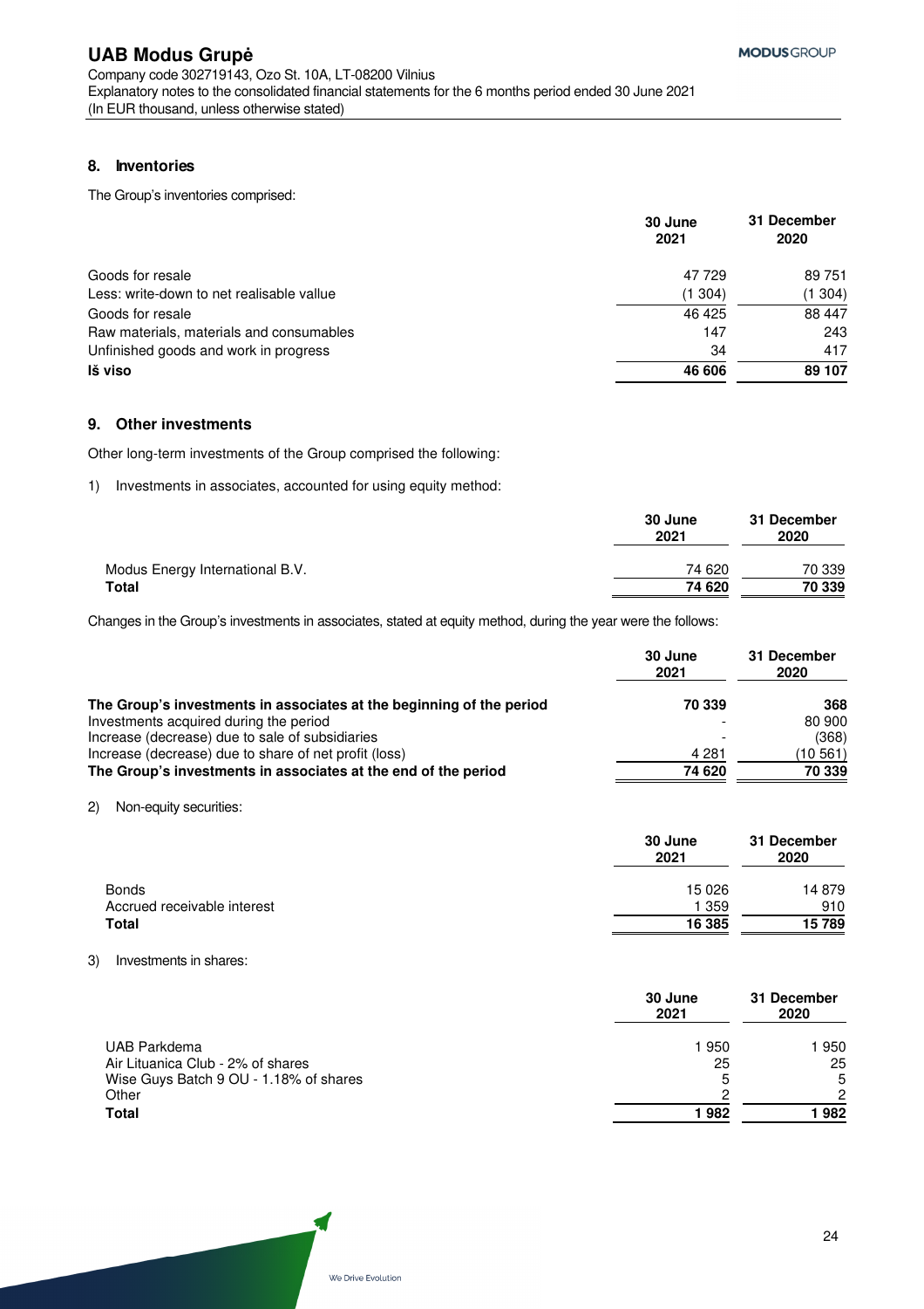### **8. Inventories**

The Group's inventories comprised:

|                                           | 30 June<br>2021 | 31 December<br>2020 |
|-------------------------------------------|-----------------|---------------------|
| Goods for resale                          | 47729           | 89 751              |
| Less: write-down to net realisable vallue | (1304)          | (1 304)             |
| Goods for resale                          | 46 4 25         | 88 447              |
| Raw materials, materials and consumables  | 147             | 243                 |
| Unfinished goods and work in progress     | 34              | 417                 |
| Iš viso                                   | 46 606          | 89 107              |

### **9. Other investments**

Other long-term investments of the Group comprised the following:

1) Investments in associates, accounted for using equity method:

|                                 | 30 June<br>2021 | 31 December<br>2020 |
|---------------------------------|-----------------|---------------------|
| Modus Energy International B.V. | 74 620          | 70 339              |
| Total                           | 74 620          | 70 339              |

Changes in the Group's investments in associates, stated at equity method, during the year were the follows:

|                                                                      | 30 June<br>2021 | 31 December<br>2020 |
|----------------------------------------------------------------------|-----------------|---------------------|
| The Group's investments in associates at the beginning of the period | 70 339          | 368                 |
| Investments acquired during the period                               | -               | 80 900              |
| Increase (decrease) due to sale of subsidiaries                      |                 | (368)               |
| Increase (decrease) due to share of net profit (loss)                | 4 281           | (10 561)            |
| The Group's investments in associates at the end of the period       | 74 620          | 70 339              |

2) Non-equity securities:

|                             | 30 June<br>2021 | 31 December<br>2020 |
|-----------------------------|-----------------|---------------------|
| <b>Bonds</b>                | 15 0 26         | 14 879              |
| Accrued receivable interest | 359             | 910                 |
| <b>Total</b>                | 16 385          | 15789               |

### 3) Investments in shares:

|                                        | 30 June<br>2021 | 31 December<br>2020 |
|----------------------------------------|-----------------|---------------------|
| UAB Parkdema                           | 1950            | 950                 |
| Air Lituanica Club - 2% of shares      | 25              | 25                  |
| Wise Guys Batch 9 OU - 1.18% of shares | 5               | 5                   |
| Other                                  | ⌒               | 2                   |
| <b>Total</b>                           | 1982            | 982                 |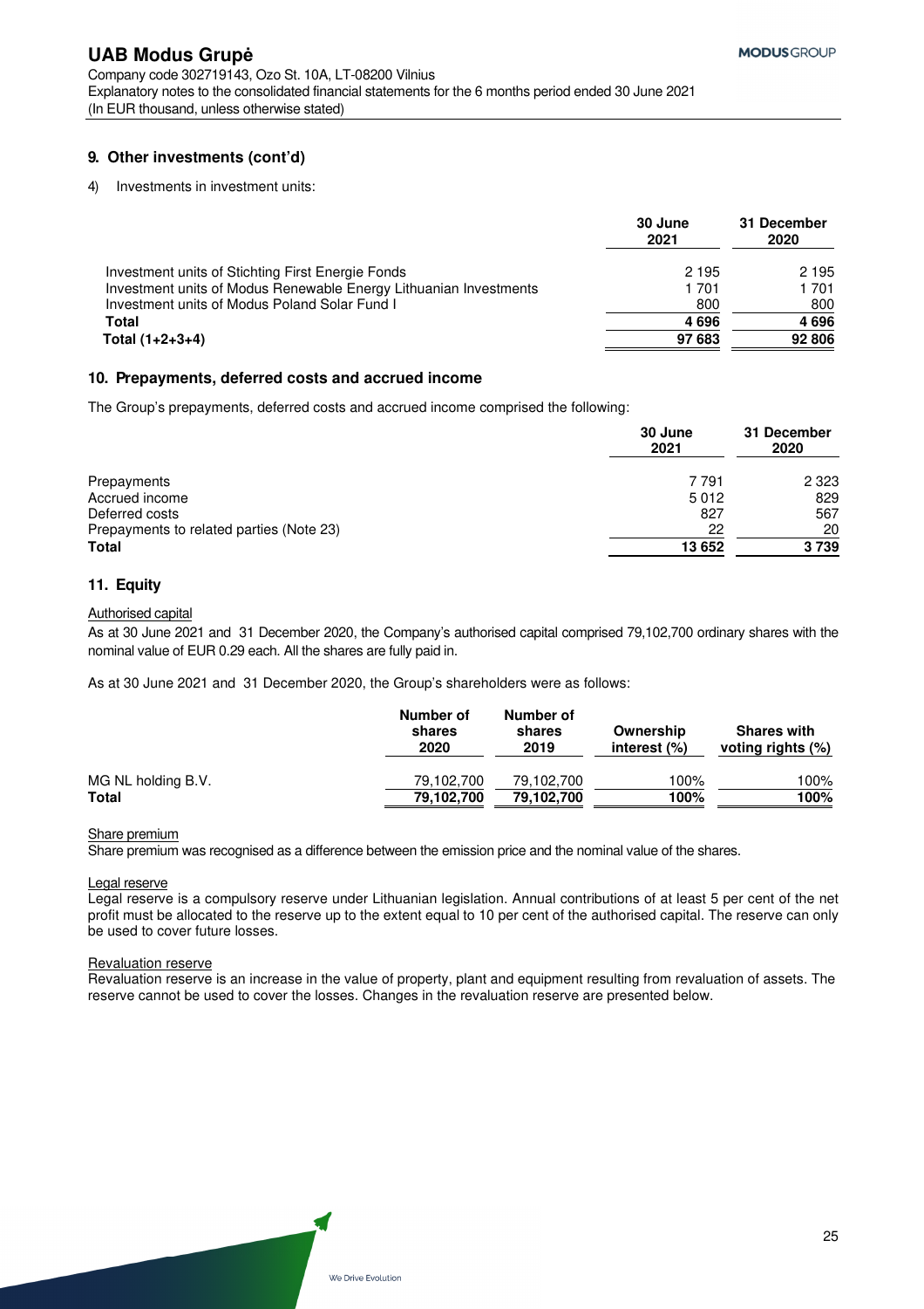### **9. Other investments (cont'd)**

4) Investments in investment units:

|                                                                   | 30 June<br>2021 | 31 December<br>2020 |
|-------------------------------------------------------------------|-----------------|---------------------|
| Investment units of Stichting First Energie Fonds                 | 2 1 9 5         | 2 1 9 5             |
| Investment units of Modus Renewable Energy Lithuanian Investments | 1 701           | 1701                |
| Investment units of Modus Poland Solar Fund I                     | 800             | 800                 |
| <b>Total</b>                                                      | 4696            | 4696                |
| Total $(1+2+3+4)$                                                 | 97 683          | 92 806              |

### **10. Prepayments, deferred costs and accrued income**

The Group's prepayments, deferred costs and accrued income comprised the following:

|                                          | 30 June<br>2021 | 31 December<br>2020 |
|------------------------------------------|-----------------|---------------------|
| Prepayments                              | 7 7 9 1         | 2 3 2 3             |
| Accrued income                           | 5012            | 829                 |
| Deferred costs                           | 827             | 567                 |
| Prepayments to related parties (Note 23) | 22              | 20                  |
| <b>Total</b>                             | 13 652          | 3739                |

### **11. Equity**

#### Authorised capital

As at 30 June 2021 and 31 December 2020, the Company's authorised capital comprised 79,102,700 ordinary shares with the nominal value of EUR 0.29 each. All the shares are fully paid in.

As at 30 June 2021 and 31 December 2020, the Group's shareholders were as follows:

|                    | Number of<br>shares<br>2020 | Number of<br>shares<br>2019 | Ownership<br>interest (%) | <b>Shares with</b><br>voting rights (%) |
|--------------------|-----------------------------|-----------------------------|---------------------------|-----------------------------------------|
| MG NL holding B.V. | 79.102.700                  | 79.102.700                  | 100%                      | 100%                                    |
| <b>Total</b>       | 79,102,700                  | 79,102,700                  | 100%                      | 100%                                    |

#### Share premium

Share premium was recognised as a difference between the emission price and the nominal value of the shares.

Legal reserve

Legal reserve is a compulsory reserve under Lithuanian legislation. Annual contributions of at least 5 per cent of the net profit must be allocated to the reserve up to the extent equal to 10 per cent of the authorised capital. The reserve can only be used to cover future losses.

#### Revaluation reserve

Revaluation reserve is an increase in the value of property, plant and equipment resulting from revaluation of assets. The reserve cannot be used to cover the losses. Changes in the revaluation reserve are presented below.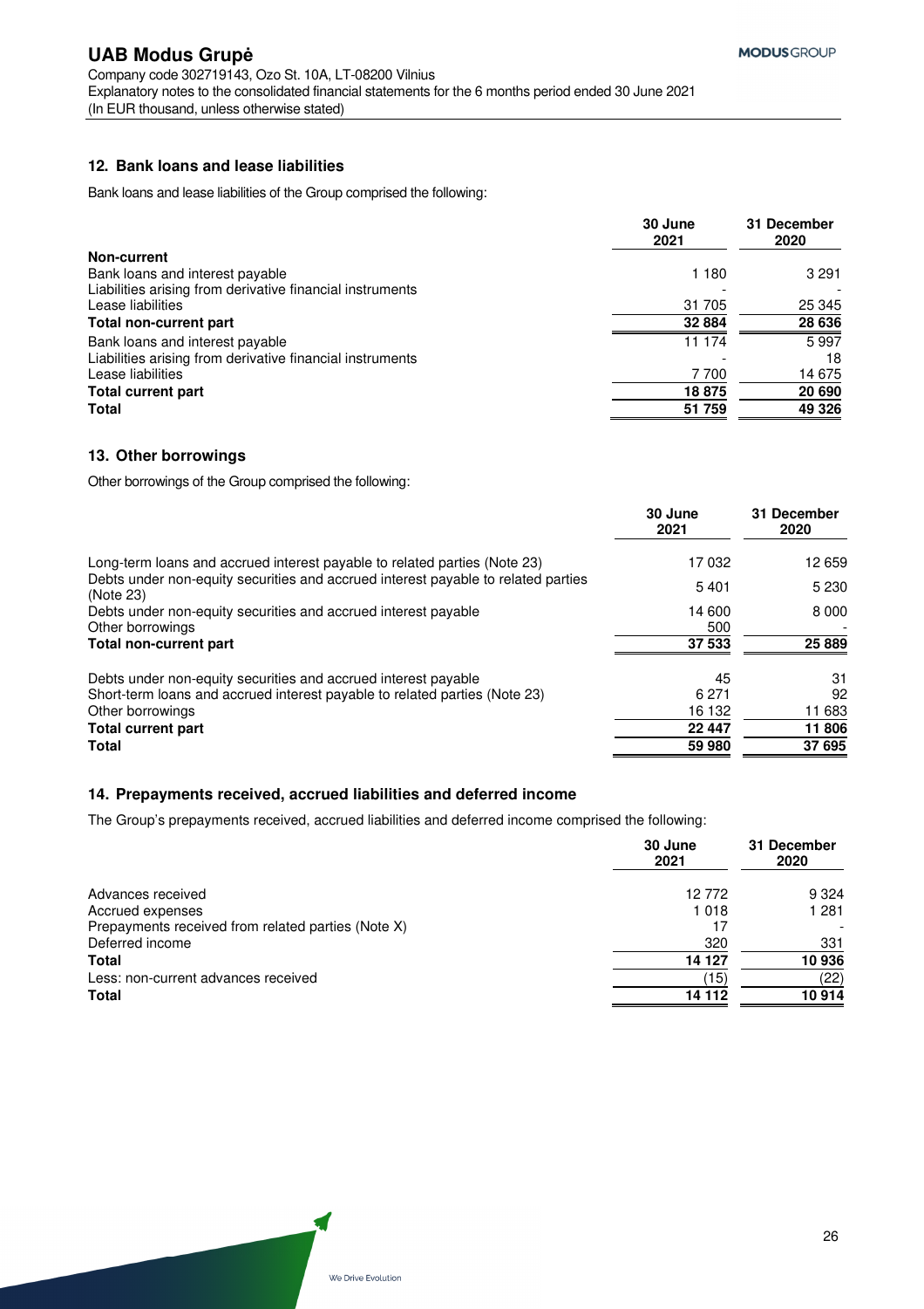### **12. Bank loans and lease liabilities**

Bank loans and lease liabilities of the Group comprised the following:

|                                                           | 30 June<br>2021 | 31 December<br>2020 |
|-----------------------------------------------------------|-----------------|---------------------|
| <b>Non-current</b>                                        |                 |                     |
| Bank loans and interest payable                           | 1 1 8 0         | 3 2 9 1             |
| Liabilities arising from derivative financial instruments |                 |                     |
| Lease liabilities                                         | 31 705          | 25 345              |
| Total non-current part                                    | 32 884          | 28 636              |
| Bank loans and interest payable                           | 11 174          | 5997                |
| Liabilities arising from derivative financial instruments |                 | 18                  |
| Lease liabilities                                         | 7700            | 14 675              |
| <b>Total current part</b>                                 | 18875           | 20 690              |
| <b>Total</b>                                              | 51 759          | 49 326              |

### **13. Other borrowings**

Other borrowings of the Group comprised the following:

|                                                                                                | 30 June<br>2021 | 31 December<br>2020 |
|------------------------------------------------------------------------------------------------|-----------------|---------------------|
| Long-term loans and accrued interest payable to related parties (Note 23)                      | 17032           | 12 659              |
| Debts under non-equity securities and accrued interest payable to related parties<br>(Note 23) | 5401            | 5 2 3 0             |
| Debts under non-equity securities and accrued interest payable                                 | 14 600          | 8 0 0 0             |
| Other borrowings                                                                               | 500             |                     |
| Total non-current part                                                                         | 37 533          | 25 8 89             |
| Debts under non-equity securities and accrued interest payable                                 | 45              | 31                  |
| Short-term loans and accrued interest payable to related parties (Note 23)                     | 6 2 7 1         | 92                  |
| Other borrowings                                                                               | 16 132          | 11 683              |
| <b>Total current part</b>                                                                      | 22 447          | 11 806              |
| <b>Total</b>                                                                                   | 59 980          | 37 695              |

### **14. Prepayments received, accrued liabilities and deferred income**

The Group's prepayments received, accrued liabilities and deferred income comprised the following:

| 30 June<br>2021                                          | 31 December<br>2020 |
|----------------------------------------------------------|---------------------|
| 12772<br>Advances received                               | 9 3 2 4             |
| 1018<br>Accrued expenses                                 | 1 2 8 1             |
| Prepayments received from related parties (Note X)<br>17 |                     |
| 320<br>Deferred income                                   | 331                 |
| 14 127<br><b>Total</b>                                   | 10936               |
| (15)<br>Less: non-current advances received              | (22)                |
| <b>Total</b><br>14 112                                   | 10914               |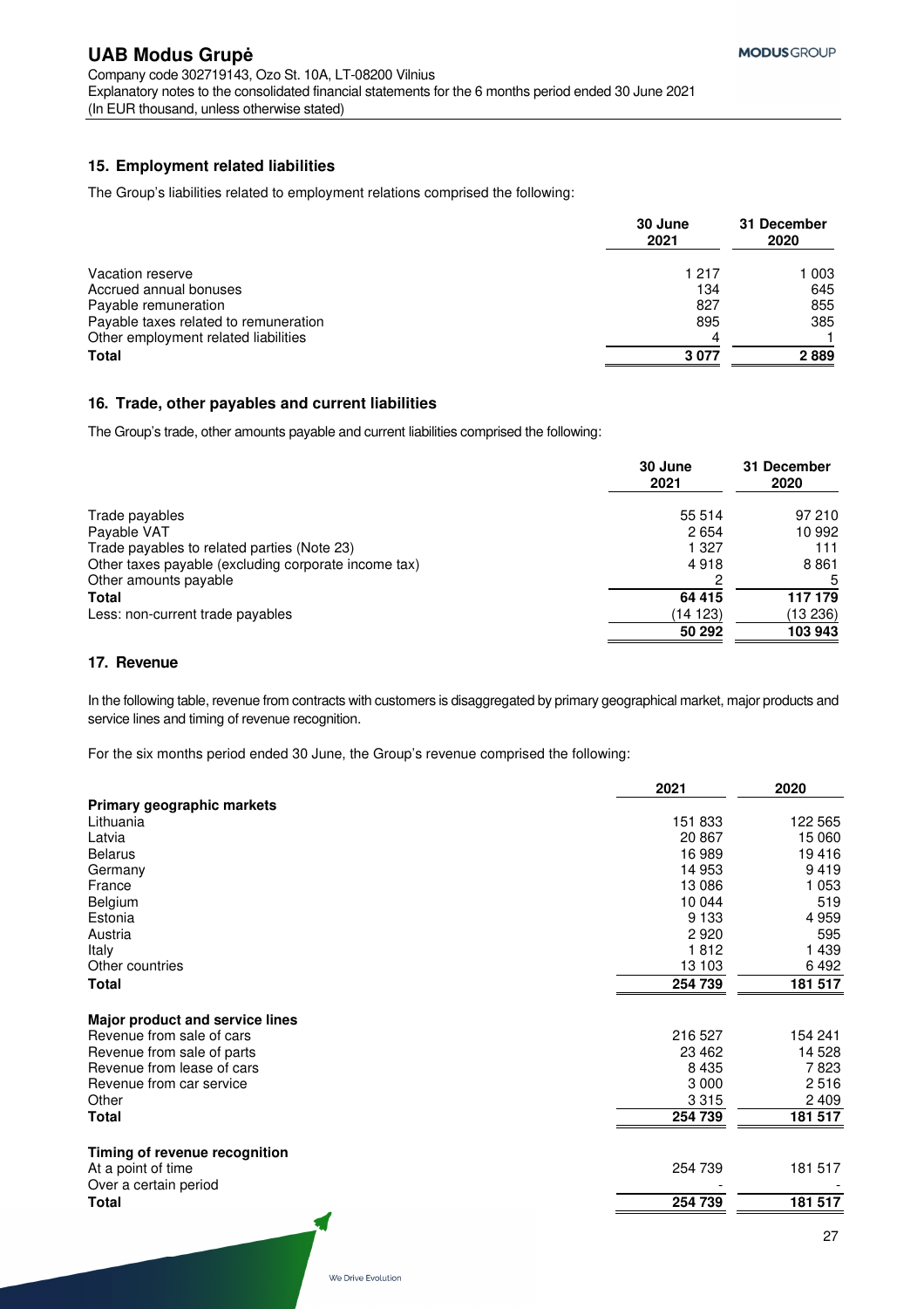### **15. Employment related liabilities**

The Group's liabilities related to employment relations comprised the following:

|                                       | 30 June<br>2021 | 31 December<br>2020 |
|---------------------------------------|-----------------|---------------------|
| Vacation reserve                      | 1 217           | 1 003               |
| Accrued annual bonuses                | 134             | 645                 |
| Payable remuneration                  | 827             | 855                 |
| Payable taxes related to remuneration | 895             | 385                 |
| Other employment related liabilities  | 4               |                     |
| <b>Total</b>                          | 3077            | 2889                |

### **16. Trade, other payables and current liabilities**

The Group's trade, other amounts payable and current liabilities comprised the following:

|                                                      | 30 June<br>2021 | 31 December<br>2020 |
|------------------------------------------------------|-----------------|---------------------|
| Trade payables                                       | 55 514          | 97 210              |
| Payable VAT                                          | 2654            | 10 992              |
| Trade payables to related parties (Note 23)          | 1 327           | 111                 |
| Other taxes payable (excluding corporate income tax) | 4918            | 8861                |
| Other amounts payable                                |                 | 5                   |
| <b>Total</b>                                         | 64 415          | 117 179             |
| Less: non-current trade payables                     | (14123)         | (13 236)            |
|                                                      | 50 292          | 103 943             |

### **17. Revenue**

In the following table, revenue from contracts with customers is disaggregated by primary geographical market, major products and service lines and timing of revenue recognition.

For the six months period ended 30 June, the Group's revenue comprised the following:

|                                 | 2021    | 2020    |
|---------------------------------|---------|---------|
| Primary geographic markets      |         |         |
| Lithuania                       | 151 833 | 122 565 |
| Latvia                          | 20867   | 15 060  |
| <b>Belarus</b>                  | 16989   | 19416   |
| Germany                         | 14 953  | 9419    |
| France                          | 13 086  | 1 0 5 3 |
| Belgium                         | 10 044  | 519     |
| Estonia                         | 9 1 3 3 | 4 9 5 9 |
| Austria                         | 2920    | 595     |
| Italy                           | 1812    | 1 4 3 9 |
| Other countries                 | 13 103  | 6492    |
| <b>Total</b>                    | 254 739 | 181 517 |
| Major product and service lines |         |         |
| Revenue from sale of cars       | 216 527 | 154 241 |
| Revenue from sale of parts      | 23 4 62 | 14 5 28 |
| Revenue from lease of cars      | 8435    | 7823    |
| Revenue from car service        | 3 0 0 0 | 2516    |
| Other                           | 3315    | 2 4 0 9 |
| <b>Total</b>                    | 254 739 | 181 517 |
| Timing of revenue recognition   |         |         |
| At a point of time              | 254 739 | 181 517 |
| Over a certain period           |         |         |
| Total                           | 254 739 | 181 517 |
|                                 |         | 27      |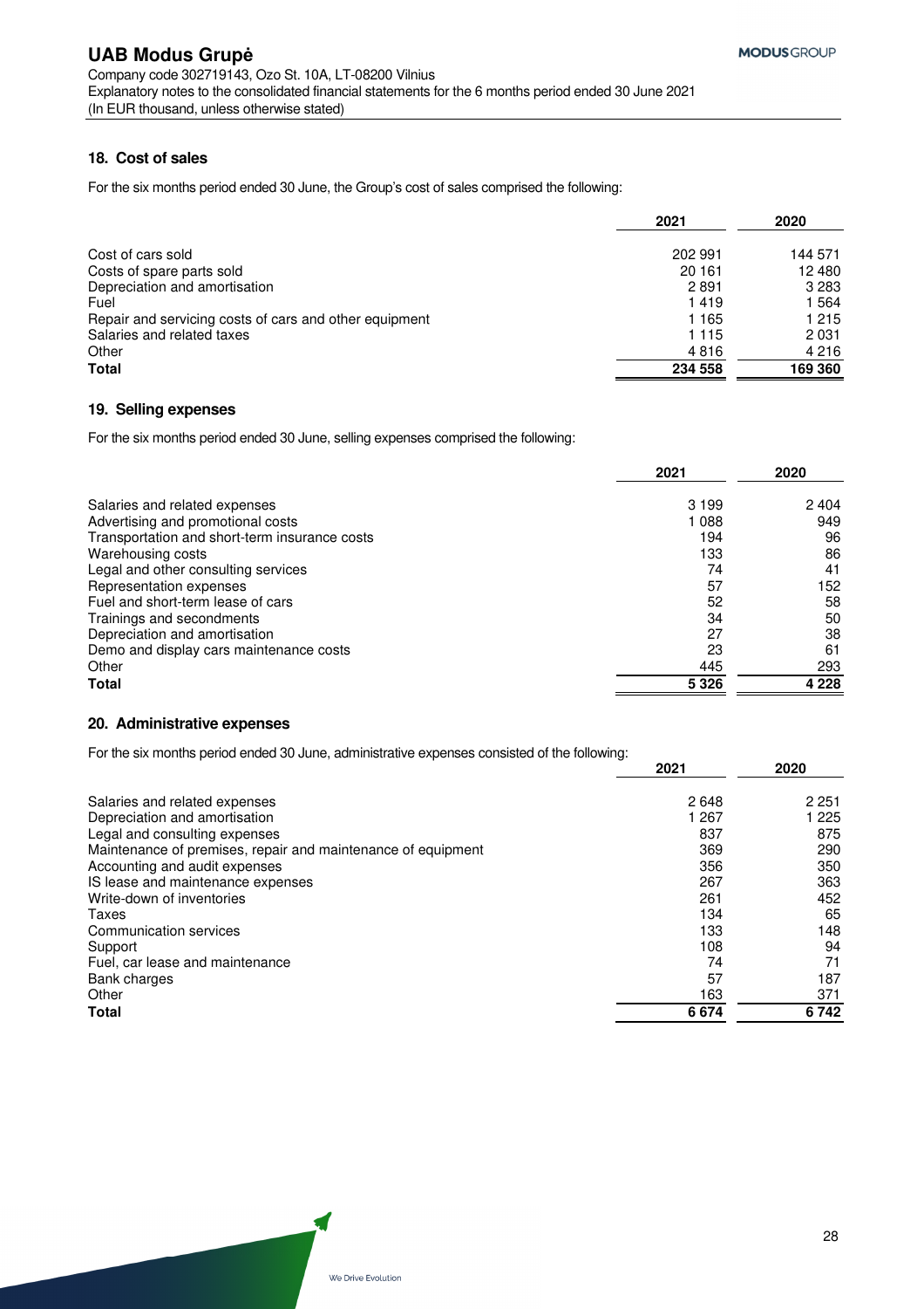### **18. Cost of sales**

For the six months period ended 30 June, the Group's cost of sales comprised the following:

|                                                        | 2021    | 2020    |
|--------------------------------------------------------|---------|---------|
| Cost of cars sold                                      | 202 991 | 144 571 |
| Costs of spare parts sold                              | 20 161  | 12 480  |
| Depreciation and amortisation                          | 2891    | 3 2 8 3 |
| Fuel                                                   | 1419    | 1564    |
| Repair and servicing costs of cars and other equipment | 1 165   | 1 2 1 5 |
| Salaries and related taxes                             | 1 1 1 5 | 2 0 3 1 |
| Other                                                  | 4816    | 4 2 1 6 |
| <b>Total</b>                                           | 234 558 | 169 360 |

### **19. Selling expenses**

For the six months period ended 30 June, selling expenses comprised the following:

|                                               | 2021    | 2020    |
|-----------------------------------------------|---------|---------|
| Salaries and related expenses                 | 3 1 9 9 | 2404    |
| Advertising and promotional costs             | 1088    | 949     |
| Transportation and short-term insurance costs | 194     | 96      |
| Warehousing costs                             | 133     | 86      |
| Legal and other consulting services           | 74      | 41      |
| Representation expenses                       | 57      | 152     |
| Fuel and short-term lease of cars             | 52      | 58      |
| Trainings and secondments                     | 34      | 50      |
| Depreciation and amortisation                 | 27      | 38      |
| Demo and display cars maintenance costs       | 23      | 61      |
| Other                                         | 445     | 293     |
| <b>Total</b>                                  | 5 3 2 6 | 4 2 2 8 |

### **20. Administrative expenses**

For the six months period ended 30 June, administrative expenses consisted of the following:

|                                                              | 2021  | 2020    |
|--------------------------------------------------------------|-------|---------|
| Salaries and related expenses                                | 2648  | 2 2 5 1 |
| Depreciation and amortisation                                | 1 267 | 225     |
| Legal and consulting expenses                                | 837   | 875     |
| Maintenance of premises, repair and maintenance of equipment | 369   | 290     |
| Accounting and audit expenses                                | 356   | 350     |
| IS lease and maintenance expenses                            | 267   | 363     |
| Write-down of inventories                                    | 261   | 452     |
| Taxes                                                        | 134   | 65      |
| Communication services                                       | 133   | 148     |
| Support                                                      | 108   | 94      |
| Fuel, car lease and maintenance                              | 74    | 71      |
| Bank charges                                                 | 57    | 187     |
| Other                                                        | 163   | 371     |
| Total                                                        | 6674  | 6742    |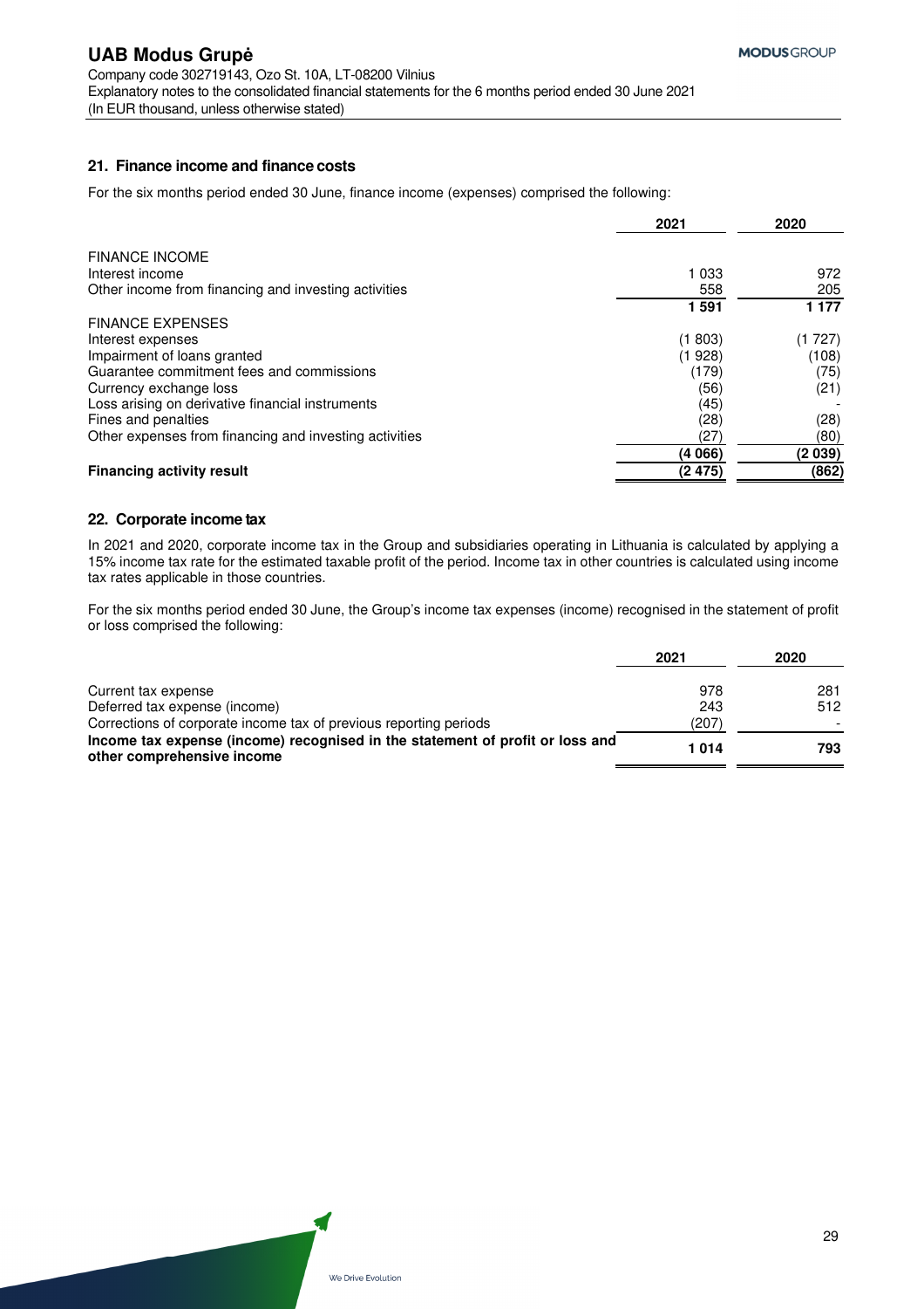### **21. Finance income and finance costs**

For the six months period ended 30 June, finance income (expenses) comprised the following:

|                                                        | 2021    | 2020       |
|--------------------------------------------------------|---------|------------|
| <b>FINANCE INCOME</b>                                  |         |            |
| Interest income                                        | 1 0 3 3 | 972        |
| Other income from financing and investing activities   | 558     | 205        |
|                                                        | 1591    | 1 1 7 7    |
| <b>FINANCE EXPENSES</b>                                |         |            |
| Interest expenses                                      | (1 803) | 727)<br>(1 |
| Impairment of loans granted                            | (1 928) | (108)      |
| Guarantee commitment fees and commissions              | (179)   | (75)       |
| Currency exchange loss                                 | (56)    | (21)       |
| Loss arising on derivative financial instruments       | (45)    |            |
| Fines and penalties                                    | (28)    | (28)       |
| Other expenses from financing and investing activities | (27)    | (80)       |
|                                                        | (4 066) | (2039)     |
| <b>Financing activity result</b>                       | (2 475) | (862)      |

### **22. Corporate income tax**

In 2021 and 2020, corporate income tax in the Group and subsidiaries operating in Lithuania is calculated by applying a 15% income tax rate for the estimated taxable profit of the period. Income tax in other countries is calculated using income tax rates applicable in those countries.

For the six months period ended 30 June, the Group's income tax expenses (income) recognised in the statement of profit or loss comprised the following:

| 2021 | 2020 |
|------|------|
| 978  | 281  |
| 243  | 512  |
| (207 |      |
| 1014 | 793  |
|      |      |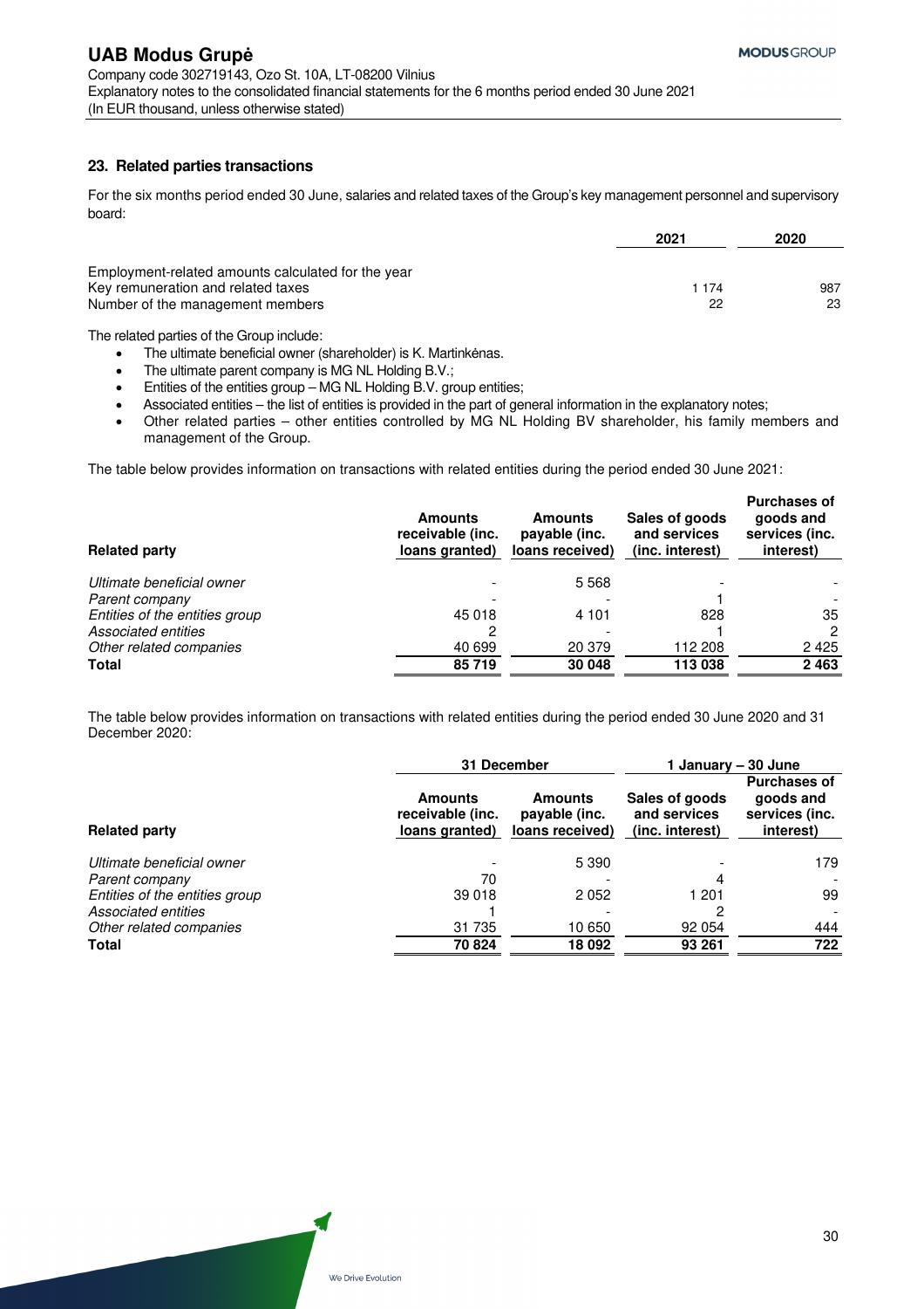### **23. Related parties transactions**

For the six months period ended 30 June, salaries and related taxes of the Group's key management personnel and supervisory board:

|                                                                                          | 2021    | 2020 |
|------------------------------------------------------------------------------------------|---------|------|
| Employment-related amounts calculated for the year<br>Key remuneration and related taxes | 1 1 7 4 | 987  |
| Number of the management members                                                         | 22      | 23   |

The related parties of the Group include:

- The ultimate beneficial owner (shareholder) is K. Martinkėnas.
- The ultimate parent company is MG NL Holding B.V.;
- Entities of the entities group MG NL Holding B.V. group entities;
- Associated entities the list of entities is provided in the part of general information in the explanatory notes;
- Other related parties other entities controlled by MG NL Holding BV shareholder, his family members and management of the Group.

The table below provides information on transactions with related entities during the period ended 30 June 2021:

| <b>Related party</b>           | <b>Amounts</b><br>receivable (inc.<br>loans granted) | <b>Amounts</b><br>payable (inc.<br>loans received) | Sales of goods<br>and services<br>(inc. interest) | <b>Purchases of</b><br>goods and<br>services (inc.<br>interest) |
|--------------------------------|------------------------------------------------------|----------------------------------------------------|---------------------------------------------------|-----------------------------------------------------------------|
| Ultimate beneficial owner      |                                                      | 5568                                               |                                                   |                                                                 |
| Parent company                 |                                                      |                                                    |                                                   |                                                                 |
| Entities of the entities group | 45 018                                               | 4 1 0 1                                            | 828                                               | 35                                                              |
| Associated entities            |                                                      |                                                    |                                                   | 2                                                               |
| Other related companies        | 40 699                                               | 20 379                                             | 112 208                                           | 2425                                                            |
| <b>Total</b>                   | 85719                                                | 30 048                                             | 113 038                                           | 2 4 6 3                                                         |

The table below provides information on transactions with related entities during the period ended 30 June 2020 and 31 December 2020:

|                                | 31 December                                   |                                             | <b>January – 30 June</b>                          |                                                                 |
|--------------------------------|-----------------------------------------------|---------------------------------------------|---------------------------------------------------|-----------------------------------------------------------------|
| <b>Related party</b>           | Amounts<br>receivable (inc.<br>loans granted) | Amounts<br>payable (inc.<br>loans received) | Sales of goods<br>and services<br>(inc. interest) | <b>Purchases of</b><br>goods and<br>services (inc.<br>interest) |
| Ultimate beneficial owner      |                                               | 5 3 9 0                                     |                                                   | 179                                                             |
| Parent company                 | 70                                            |                                             | 4                                                 |                                                                 |
| Entities of the entities group | 39 018                                        | 2052                                        | 1 201                                             | 99                                                              |
| Associated entities            |                                               |                                             |                                                   |                                                                 |
| Other related companies        | 31 735                                        | 10 650                                      | 92 054                                            | 444                                                             |
| <b>Total</b>                   | 70 824                                        | 18 092                                      | 93 261                                            | 722                                                             |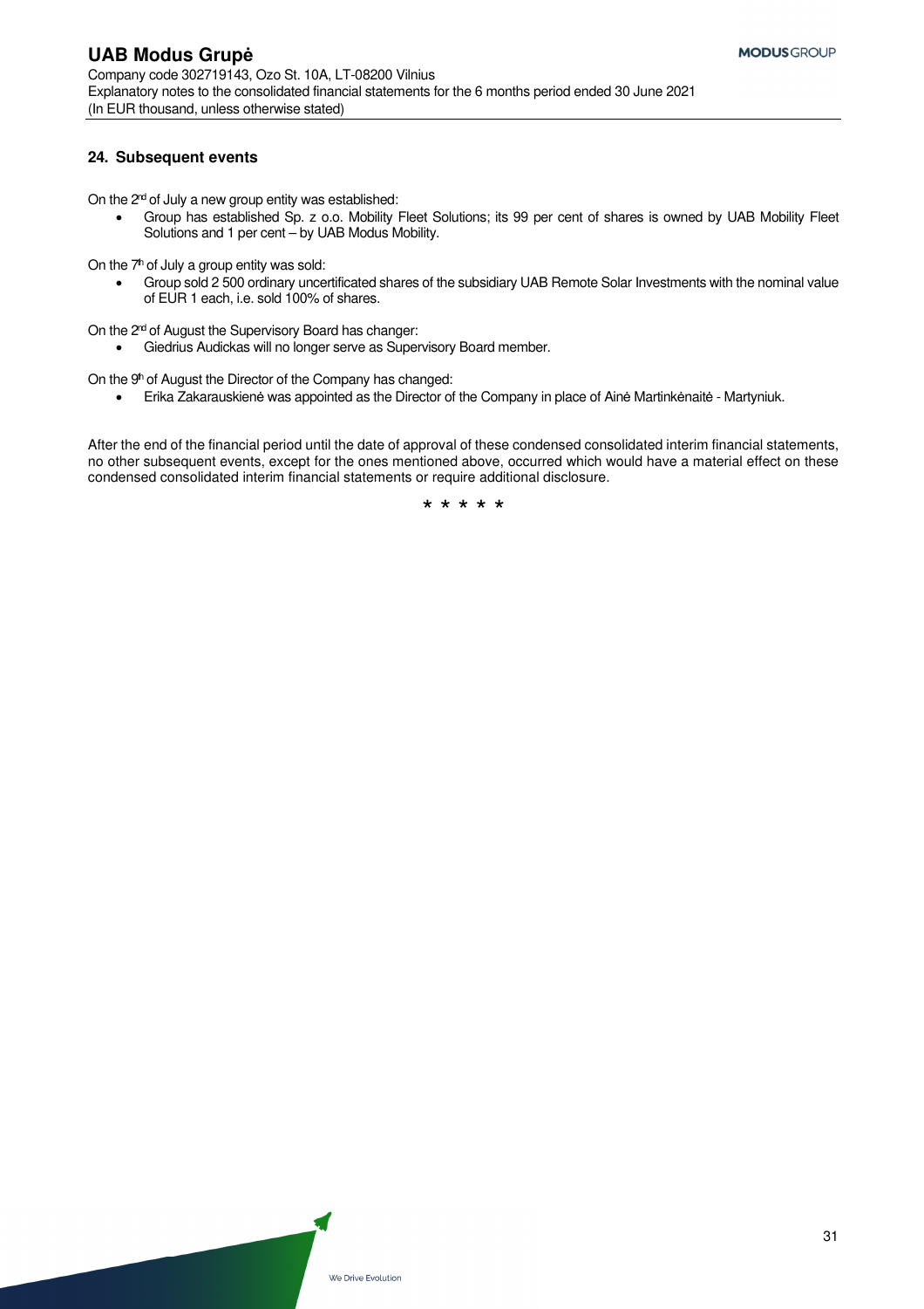### **24. Subsequent events**

On the  $2<sup>nd</sup>$  of July a new group entity was established:

 Group has established Sp. z o.o. Mobility Fleet Solutions; its 99 per cent of shares is owned by UAB Mobility Fleet Solutions and 1 per cent – by UAB Modus Mobility.

On the  $7<sup>th</sup>$  of July a group entity was sold:

 Group sold 2 500 ordinary uncertificated shares of the subsidiary UAB Remote Solar Investments with the nominal value of EUR 1 each, i.e. sold 100% of shares.

On the 2<sup>nd</sup> of August the Supervisory Board has changer:

Giedrius Audickas will no longer serve as Supervisory Board member.

On the 9<sup>th</sup> of August the Director of the Company has changed:

Erika Zakarauskienė was appointed as the Director of the Company in place of Ainė Martinkėnaitė - Martyniuk.

After the end of the financial period until the date of approval of these condensed consolidated interim financial statements, no other subsequent events, except for the ones mentioned above, occurred which would have a material effect on these condensed consolidated interim financial statements or require additional disclosure.

\* \* \* \* \*